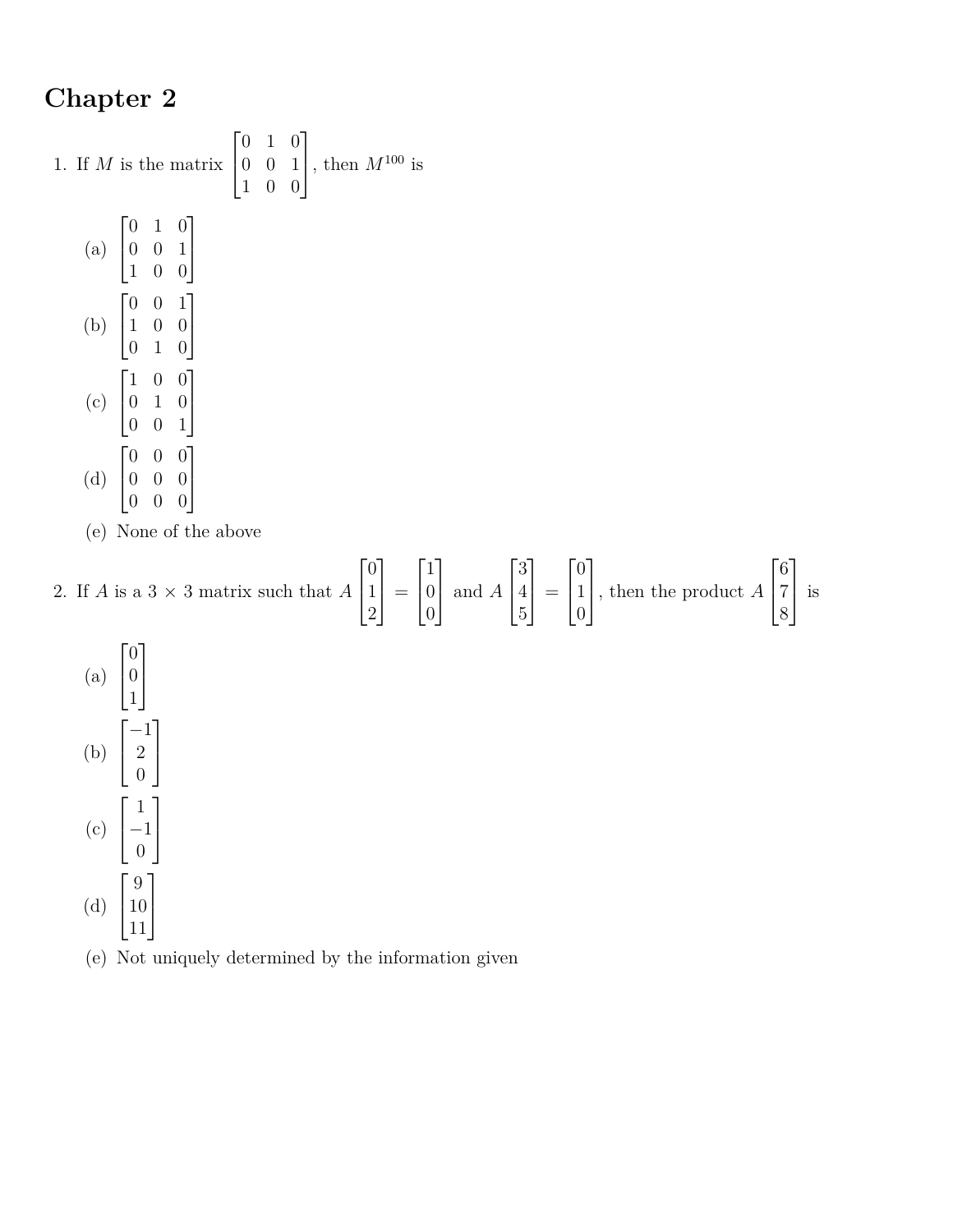## **Chapter 2**

1. If *M* is the matrix  $\lceil$  $\overline{1}$ 0 1 0 0 0 1 1 0 0 1 , then  $M^{100}$  is (a)  $\sqrt{ }$  $\overline{1}$ 0 1 0 0 0 1 1 0 0 1  $\overline{1}$ (b)  $\sqrt{ }$  $\overline{\phantom{a}}$ 0 0 1 1 0 0 0 1 0 1  $\overline{1}$ (c)  $\sqrt{ }$  $\overline{1}$ 1 0 0 0 1 0 0 0 1 1  $\overline{1}$ (d)  $\sqrt{ }$  $\overline{\phantom{a}}$ 0 0 0 0 0 0 1  $\overline{1}$ 

- 0 0 0
- (e) None of the above

## 2. If *A* is a  $3 \times 3$  matrix such that *A*  $\lceil$  $\overline{1}$ 0 1 2 1  $\vert$  =  $\sqrt{ }$  $\overline{1}$ 1 0 0 1 and *<sup>A</sup>*  $\lceil$  $\overline{1}$ 3 4 5 1  $\vert$  =  $\sqrt{ }$  $\overline{1}$  $\overline{0}$ 1 0 1 , then the product *<sup>A</sup>*  $\lceil$  $\overline{1}$ 6 7 8 1 is



(e) Not uniquely determined by the information given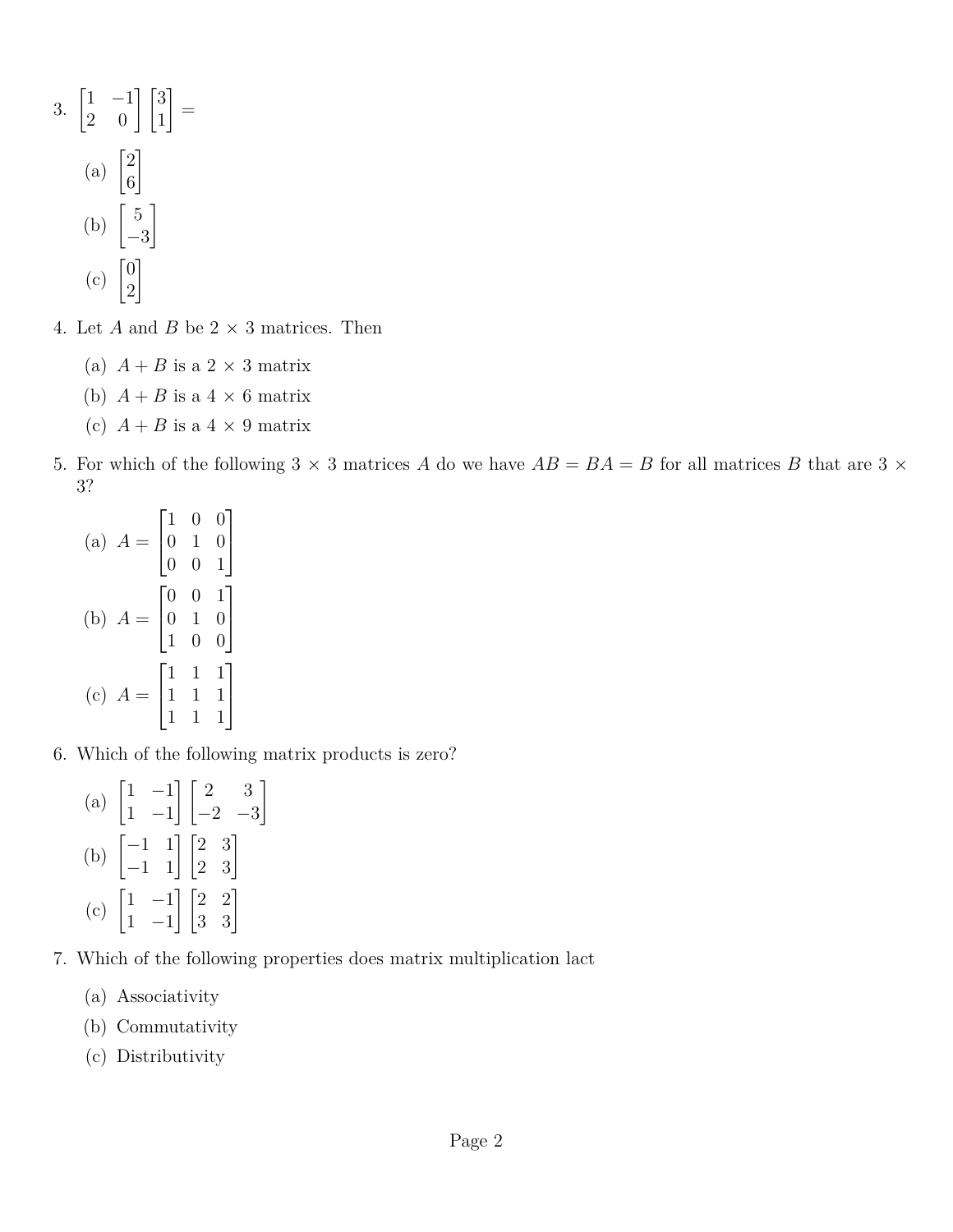- 3.  $\begin{bmatrix} 1 & -1 \\ 2 & 0 \end{bmatrix} \begin{bmatrix} 3 \\ 1 \end{bmatrix}$ 1 = (a)  $\begin{bmatrix} 2 \\ c \end{bmatrix}$ 6 1 (b)  $\begin{bmatrix} 5 \end{bmatrix}$ −3 1  $(c)$   $\begin{bmatrix} 0 \\ 2 \end{bmatrix}$ 2 1
- 4. Let  $A$  and  $B$  be  $2 \times 3$  matrices. Then
	- (a)  $A + B$  is a 2  $\times$  3 matrix
	- (b)  $A + B$  is a  $4 \times 6$  matrix
	- (c)  $A + B$  is a  $4 \times 9$  matrix
- 5. For which of the following  $3 \times 3$  matrices *A* do we have  $AB = BA = B$  for all matrices *B* that are  $3 \times$ 3?
	- $(a)$   $A =$  $\sqrt{ }$  $\overline{1}$ 1 0 0 0 1 0 0 0 1 1  $\overline{a}$ (b)  $A =$  $\sqrt{ }$  $\overline{1}$ 0 0 1 0 1 0 1 0 0 1  $\overline{a}$  $(c)$   $A =$  $\sqrt{ }$  $\overline{1}$ 1 1 1 1 1 1 1 1 1 1  $\overline{1}$
- 6. Which of the following matrix products is zero?
	- (a)  $\begin{bmatrix} 1 & -1 \\ 1 & 1 \end{bmatrix}$ 1 −1  $\begin{bmatrix} 2 & 3 \end{bmatrix}$  $-2$   $-3$ 1 (b)  $\begin{bmatrix} -1 & 1 \\ -1 & 1 \end{bmatrix} \begin{bmatrix} 2 & 3 \\ 2 & 3 \end{bmatrix}$  $(c)$   $\begin{bmatrix} 1 & -1 \\ 1 & 1 \end{bmatrix}$ 1 −1  $\begin{bmatrix} 2 & 2 \\ 3 & 3 \end{bmatrix}$
- 7. Which of the following properties does matrix multiplication lact
	- (a) Associativity
	- (b) Commutativity
	- (c) Distributivity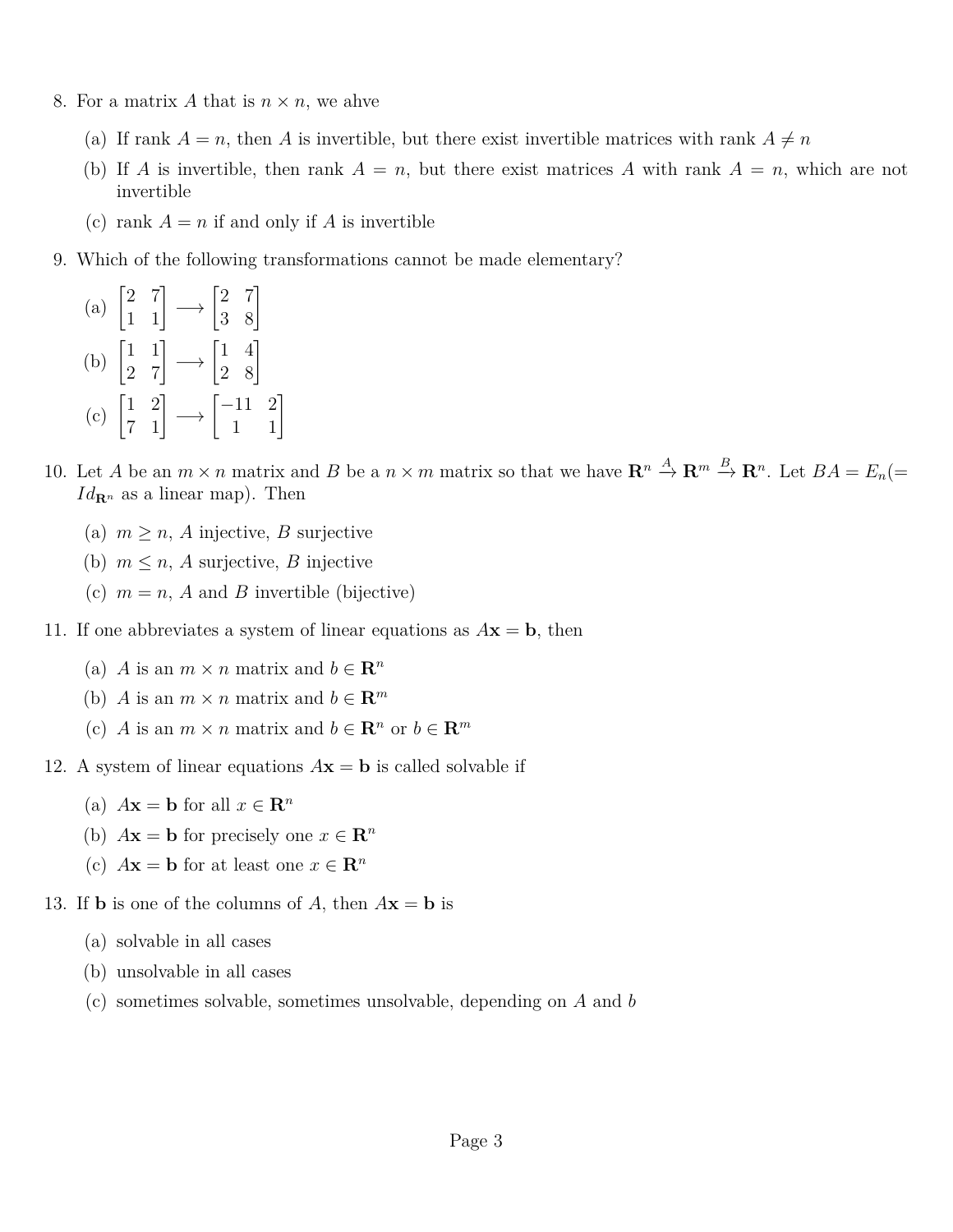- 8. For a matrix A that is  $n \times n$ , we ahve
	- (a) If rank  $A = n$ , then A is invertible, but there exist invertible matrices with rank  $A \neq n$
	- (b) If *A* is invertible, then rank  $A = n$ , but there exist matrices *A* with rank  $A = n$ , which are not invertible
	- (c) rank  $A = n$  if and only if A is invertible
- 9. Which of the following transformations cannot be made elementary?
	- (a)  $\begin{bmatrix} 2 & 7 \\ 1 & 1 \end{bmatrix} \longrightarrow \begin{bmatrix} 2 & 7 \\ 3 & 8 \end{bmatrix}$ (b)  $\begin{bmatrix} 1 & 1 \\ 2 & 7 \end{bmatrix} \longrightarrow \begin{bmatrix} 1 & 4 \\ 2 & 8 \end{bmatrix}$ (c)  $\begin{bmatrix} 1 & 2 \\ 7 & 1 \end{bmatrix} \longrightarrow \begin{bmatrix} -11 & 2 \\ 1 & 1 \end{bmatrix}$
- 10. Let *A* be an  $m \times n$  matrix and *B* be a  $n \times m$  matrix so that we have  $\mathbb{R}^n \stackrel{A}{\to} \mathbb{R}^m \stackrel{B}{\to} \mathbb{R}^n$ . Let  $BA = E_n$  $Id_{\mathbf{R}^n}$  as a linear map). Then
	- (a)  $m \geq n$ , *A* injective, *B* surjective
	- (b)  $m \leq n$ , *A* surjective, *B* injective
	- (c)  $m = n$ , *A* and *B* invertible (bijective)
- 11. If one abbreviates a system of linear equations as  $A$ **x** = **b**, then
	- (a) *A* is an  $m \times n$  matrix and  $b \in \mathbb{R}^n$
	- (b) *A* is an  $m \times n$  matrix and  $b \in \mathbb{R}^m$
	- (c) *A* is an  $m \times n$  matrix and  $b \in \mathbb{R}^n$  or  $b \in \mathbb{R}^m$
- 12. A system of linear equations  $A$ **x** = **b** is called solvable if
	- (a)  $A\mathbf{x} = \mathbf{b}$  for all  $x \in \mathbf{R}^n$
	- (b)  $A\mathbf{x} = \mathbf{b}$  for precisely one  $x \in \mathbb{R}^n$
	- (c)  $A\mathbf{x} = \mathbf{b}$  for at least one  $x \in \mathbb{R}^n$
- 13. If **b** is one of the columns of *A*, then  $A$ **x** = **b** is
	- (a) solvable in all cases
	- (b) unsolvable in all cases
	- (c) sometimes solvable, sometimes unsolvable, depending on *A* and *b*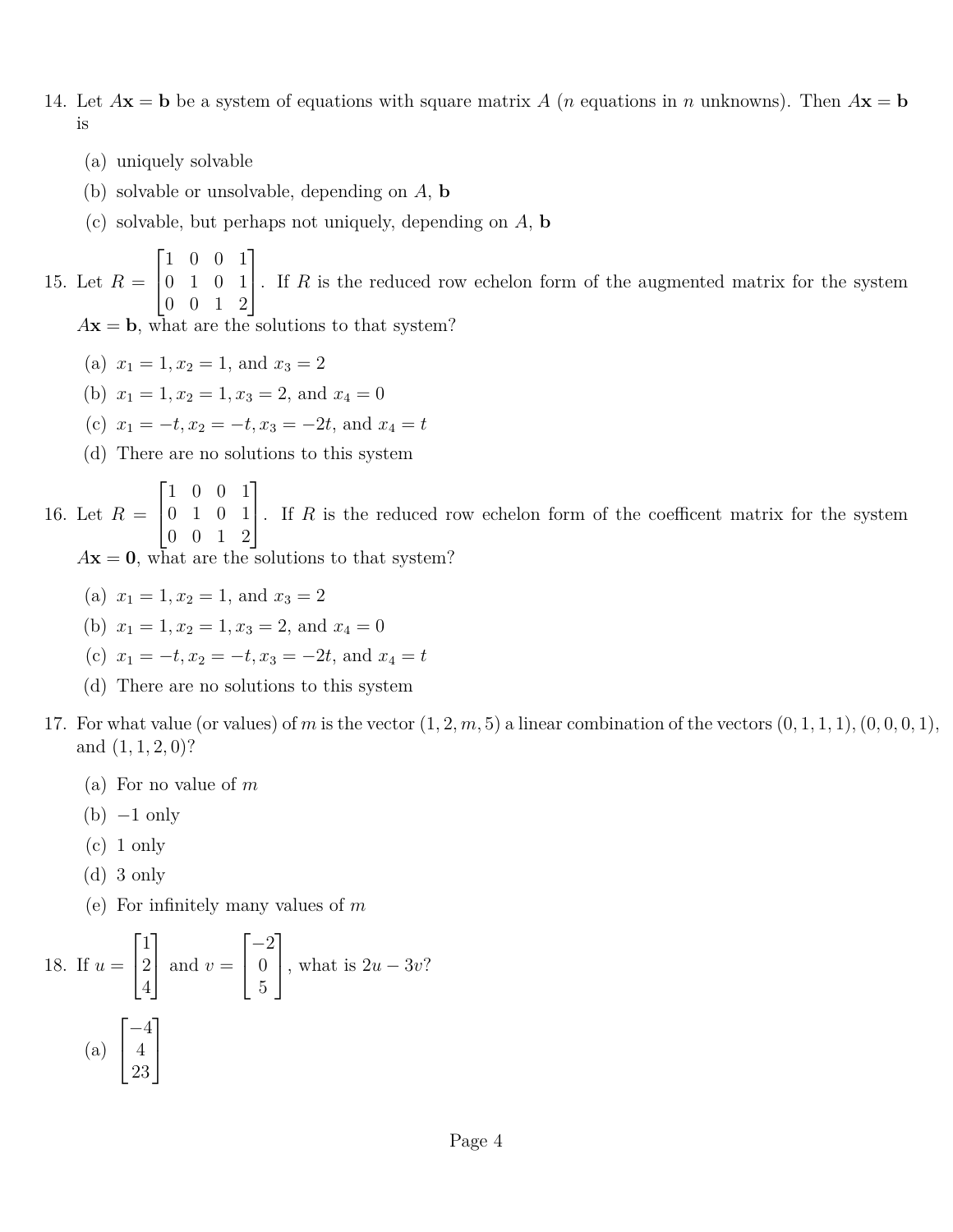- 14. Let  $A$ **x** = **b** be a system of equations with square matrix *A* (*n* equations in *n* unknowns). Then  $A$ **x** = **b** is
	- (a) uniquely solvable
	- (b) solvable or unsolvable, depending on *A*, **b**
	- (c) solvable, but perhaps not uniquely, depending on *A*, **b**

15. Let  $R =$  $\sqrt{ }$  $\vert$ 1 0 0 1 0 1 0 1 0 0 1 2 1 . If *<sup>R</sup>* is the reduced row echelon form of the augmented matrix for the system

 $A$ **x** = **b**, what are the solutions to that system?

- (a)  $x_1 = 1, x_2 = 1,$  and  $x_3 = 2$
- (b)  $x_1 = 1, x_2 = 1, x_3 = 2, \text{ and } x_4 = 0$
- (c)  $x_1 = -t, x_2 = -t, x_3 = -2t,$  and  $x_4 = t$
- (d) There are no solutions to this system

16. Let  $R =$  $\sqrt{ }$  $\overline{1}$ 1 0 0 1 0 1 0 1 0 0 1 2 1 . If *<sup>R</sup>* is the reduced row echelon form of the coefficent matrix for the system  $A$ **x** = 0, what are the solutions to that system?

- (a)  $x_1 = 1, x_2 = 1,$  and  $x_3 = 2$
- (b)  $x_1 = 1, x_2 = 1, x_3 = 2, \text{ and } x_4 = 0$
- (c)  $x_1 = -t, x_2 = -t, x_3 = -2t,$  and  $x_4 = t$
- (d) There are no solutions to this system
- 17. For what value (or values) of *m* is the vector  $(1, 2, m, 5)$  a linear combination of the vectors  $(0, 1, 1, 1)$ ,  $(0, 0, 0, 1)$ , and (1*,* 1*,* 2*,* 0)?
	- (a) For no value of *m*
	- $(b) -1$  only
	- $(c)$  1 only
	- (d) 3 only
	- (e) For infinitely many values of *m*

18. If 
$$
u = \begin{bmatrix} 1 \\ 2 \\ 4 \end{bmatrix}
$$
 and  $v = \begin{bmatrix} -2 \\ 0 \\ 5 \end{bmatrix}$ , what is  $2u - 3v$ ?  
\n(a)  $\begin{bmatrix} -4 \\ 4 \\ 23 \end{bmatrix}$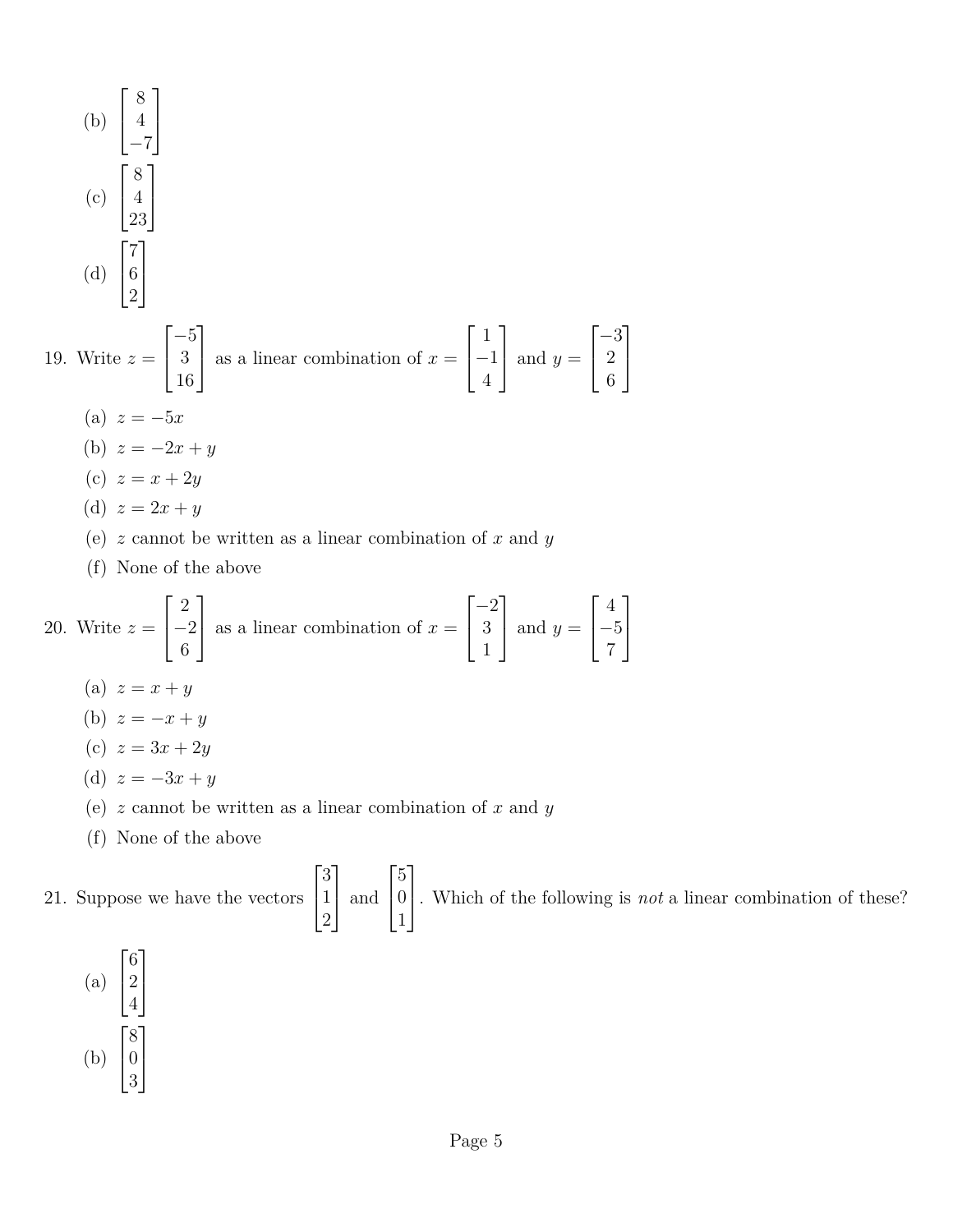(b) 
$$
\begin{bmatrix} 8 \\ 4 \\ -7 \end{bmatrix}
$$
  
\n(c)  $\begin{bmatrix} 8 \\ 4 \\ 23 \end{bmatrix}$   
\n(d)  $\begin{bmatrix} 7 \\ 6 \\ 2 \end{bmatrix}$   
\n19. Write  $z = \begin{bmatrix} -5 \\ 3 \\ 16 \end{bmatrix}$  as a linear combination of  $x = \begin{bmatrix} 1 \\ -1 \\ 4 \end{bmatrix}$  and  $y = \begin{bmatrix} -3 \\ 2 \\ 6 \end{bmatrix}$   
\n(a)  $z = -5x$   
\n(b)  $z = -2x + y$   
\n(c)  $z = x + 2y$   
\n(d)  $z = 2x + y$   
\n(e) z cannot be written as a linear combination of x and y  
\n(f) None of the above

20. Write 
$$
z = \begin{bmatrix} 2 \\ -2 \\ 6 \end{bmatrix}
$$
 as a linear combination of  $x = \begin{bmatrix} -2 \\ 3 \\ 1 \end{bmatrix}$  and  $y = \begin{bmatrix} 4 \\ -5 \\ 7 \end{bmatrix}$ 

(a)  $z = x + y$ 

$$
(b) z = -x + y
$$

$$
(c) z = 3x + 2y
$$

- (d)  $z = -3x + y$
- (e) *z* cannot be written as a linear combination of *x* and *y*
- (f) None of the above

21. Suppose we have the vectors  $\sqrt{ }$  $\overline{1}$ 3 1 2 1 and  $\sqrt{ }$  $\overline{1}$ 5 0 1 1 . Which of the following is *not* a linear combination of these?

(a) 
$$
\begin{bmatrix} 6 \\ 2 \\ 4 \end{bmatrix}
$$
  
(b) 
$$
\begin{bmatrix} 8 \\ 0 \\ 3 \end{bmatrix}
$$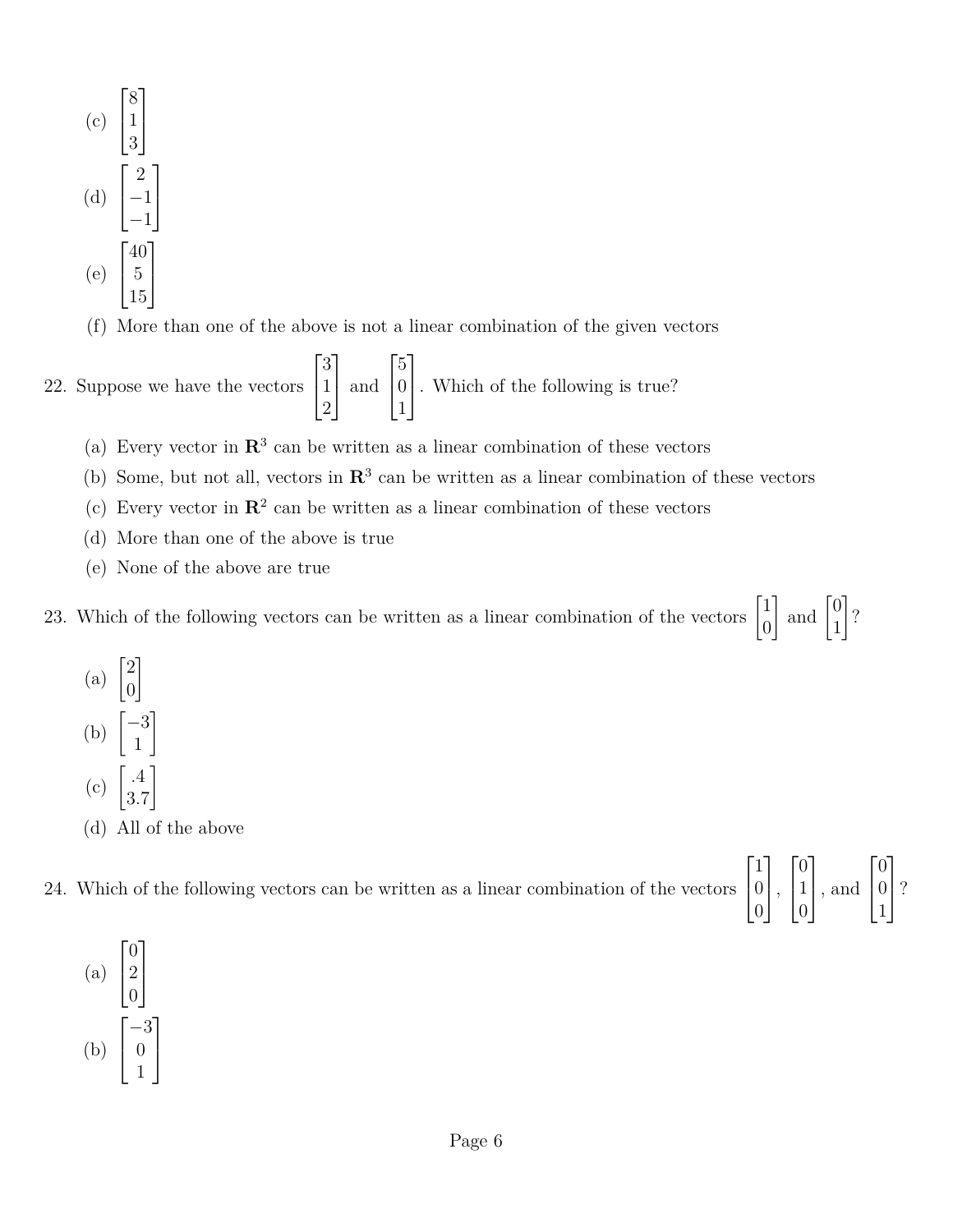

(f) More than one of the above is not a linear combination of the given vectors

22. Suppose we have the vectors 
$$
\begin{bmatrix} 3 \\ 1 \\ 2 \end{bmatrix}
$$
 and  $\begin{bmatrix} 5 \\ 0 \\ 1 \end{bmatrix}$ . Which of the following is true?

- (a) Every vector in  $\mathbb{R}^3$  can be written as a linear combination of these vectors
- (b) Some, but not all, vectors in  $\mathbb{R}^3$  can be written as a linear combination of these vectors
- (c) Every vector in  $\mathbb{R}^2$  can be written as a linear combination of these vectors
- (d) More than one of the above is true
- (e) None of the above are true

23. Which of the following vectors can be written as a linear combination of the vectors  $\begin{bmatrix} 1 \\ 0 \end{bmatrix}$ 0  $\Big]$  and  $\Big[$ <sup>0</sup> 1 1 ?

(a)  $\begin{bmatrix} 2 \\ 0 \end{bmatrix}$ 0 1 (b)  $\begin{bmatrix} -3 \\ 1 \end{bmatrix}$ 1 1  $(c) \ \binom{4}{2}$ 3*.*7 1 (d) All of the above

| 24. Which of the following vectors can be written as a linear combination of the vectors $\begin{bmatrix} 1 \\ 0 \\ 0 \end{bmatrix}$ , $\begin{bmatrix} 0 \\ 1 \\ 0 \end{bmatrix}$ , and $\begin{bmatrix} 0 \\ 0 \\ 1 \end{bmatrix}$ ? |  |  |  |
|----------------------------------------------------------------------------------------------------------------------------------------------------------------------------------------------------------------------------------------|--|--|--|

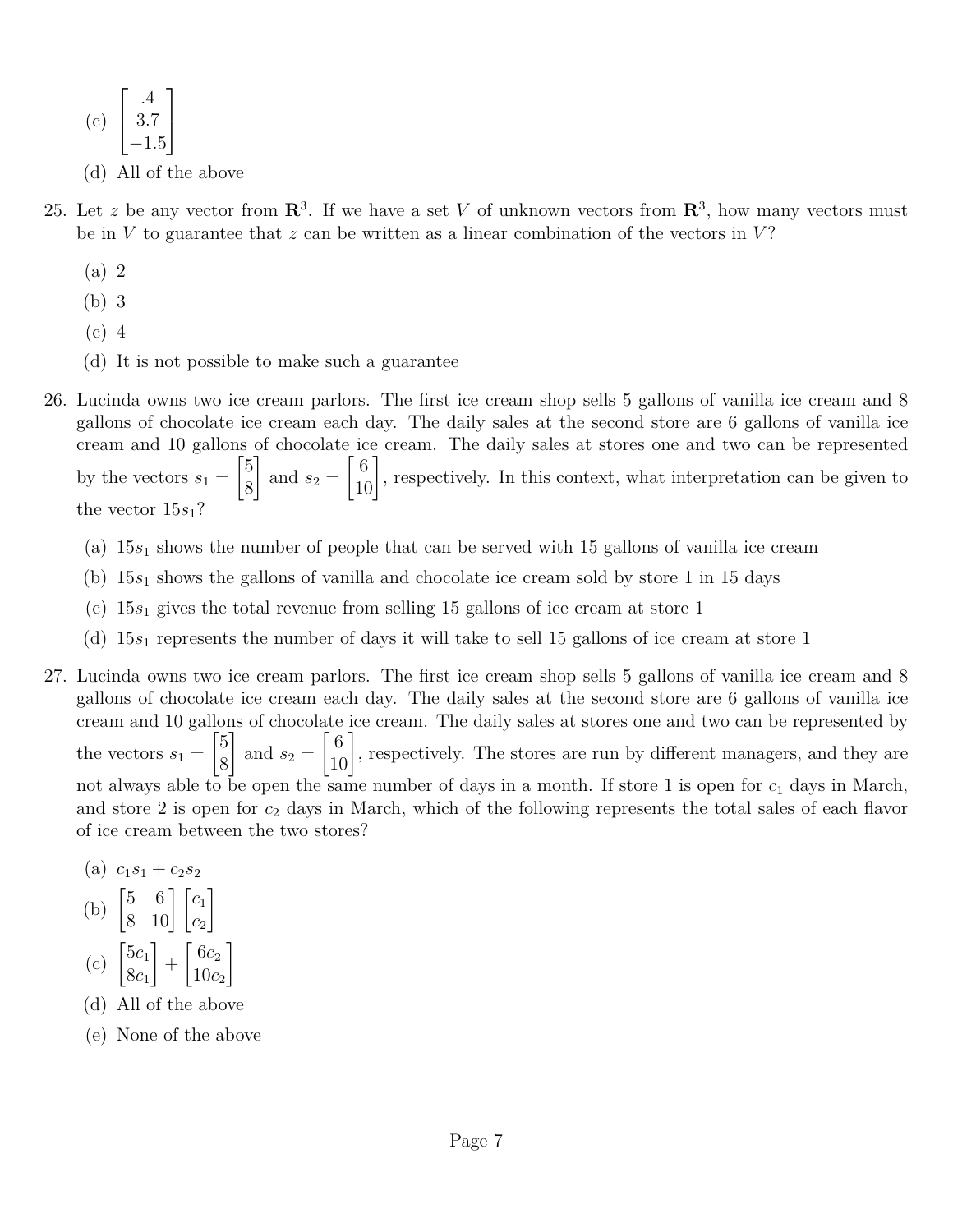$$
\begin{array}{c}\n\text{(c)} \begin{bmatrix} .4\\3.7\\-1.5 \end{bmatrix}\n\end{array}
$$

- (d) All of the above
- 25. Let z be any vector from  $\mathbb{R}^3$ . If we have a set V of unknown vectors from  $\mathbb{R}^3$ , how many vectors must be in  $V$  to guarantee that  $z$  can be written as a linear combination of the vectors in  $V$ ?
	- (a) 2
	- (b) 3
	- (c) 4
	- (d) It is not possible to make such a guarantee
- 26. Lucinda owns two ice cream parlors. The first ice cream shop sells 5 gallons of vanilla ice cream and 8 gallons of chocolate ice cream each day. The daily sales at the second store are 6 gallons of vanilla ice cream and 10 gallons of chocolate ice cream. The daily sales at stores one and two can be represented by the vectors  $s_1 =$  $\sqrt{5}$ 8 1 and  $s_2 =$  $\begin{bmatrix} 6 \\ 10 \end{bmatrix}$ , respectively. In this context, what interpretation can be given to the vector 15*s*1?
	- (a)  $15s_1$  shows the number of people that can be served with 15 gallons of vanilla ice cream
	- (b) 15*s*<sup>1</sup> shows the gallons of vanilla and chocolate ice cream sold by store 1 in 15 days
	- (c) 15*s*<sup>1</sup> gives the total revenue from selling 15 gallons of ice cream at store 1
	- (d) 15*s*<sup>1</sup> represents the number of days it will take to sell 15 gallons of ice cream at store 1
- 27. Lucinda owns two ice cream parlors. The first ice cream shop sells 5 gallons of vanilla ice cream and 8 gallons of chocolate ice cream each day. The daily sales at the second store are 6 gallons of vanilla ice cream and 10 gallons of chocolate ice cream. The daily sales at stores one and two can be represented by the vectors  $s_1 =$  $\sqrt{5}$ 8 1 and  $s_2 =$  $\begin{bmatrix} 6 \\ 10 \end{bmatrix}$ , respectively. The stores are run by different managers, and they are not always able to be open the same number of days in a month. If store 1 is open for  $c_1$  days in March, and store 2 is open for *c*<sup>2</sup> days in March, which of the following represents the total sales of each flavor of ice cream between the two stores?
	- $(c_1s_1 + c_2s_2)$
	- (b)  $\begin{bmatrix} 5 & 6 \\ 8 & 10 \end{bmatrix} \begin{bmatrix} c_1 \\ c_2 \end{bmatrix}$ 1  $(c)$   $\begin{bmatrix} 5c_1 \\ 8 \end{bmatrix}$ 1  $\int 6c_2$ 1
	- 8*c*<sup>1</sup>  $+$ 10*c*<sup>2</sup>
	- (d) All of the above
	- (e) None of the above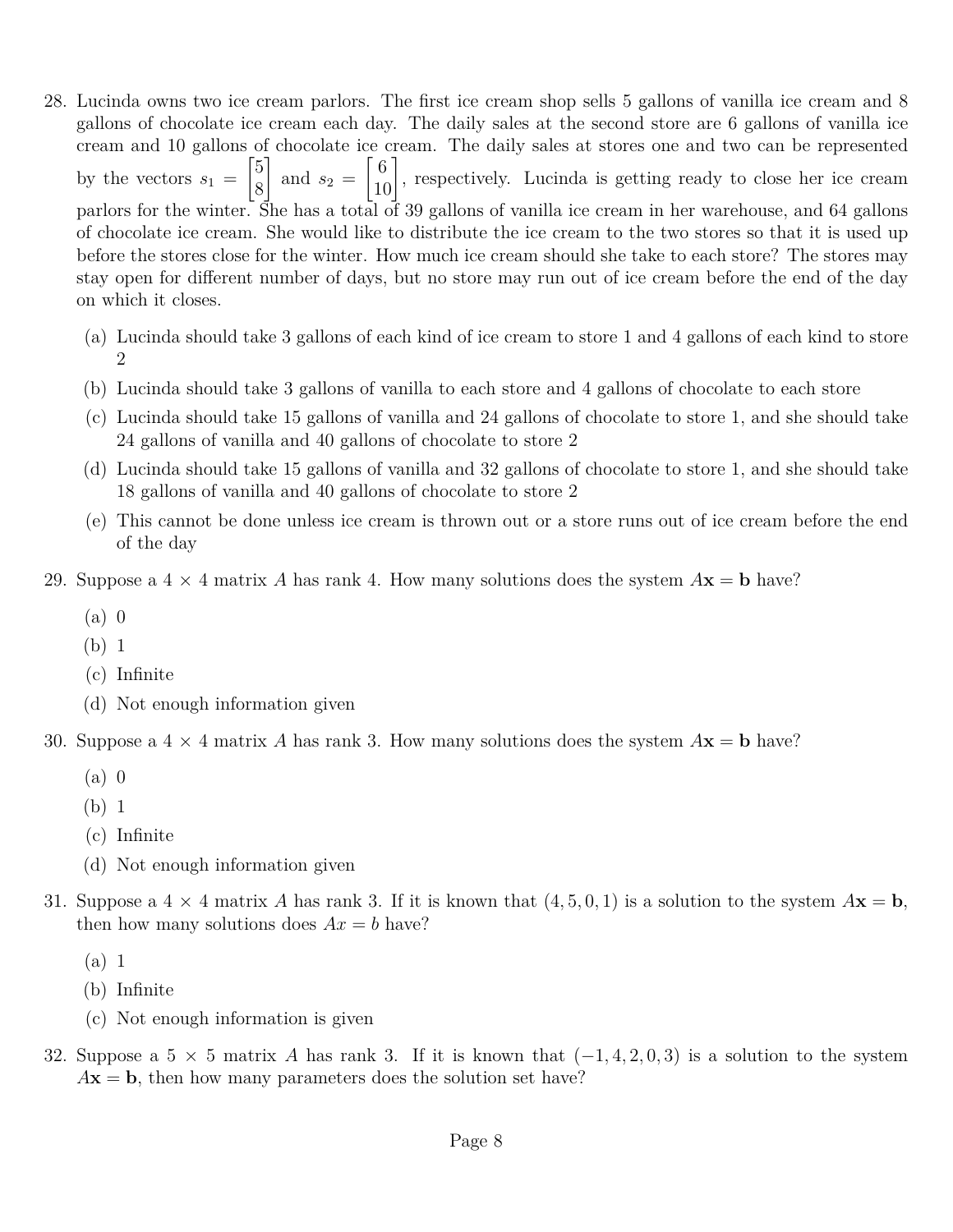- 28. Lucinda owns two ice cream parlors. The first ice cream shop sells 5 gallons of vanilla ice cream and 8 gallons of chocolate ice cream each day. The daily sales at the second store are 6 gallons of vanilla ice cream and 10 gallons of chocolate ice cream. The daily sales at stores one and two can be represented by the vectors  $s_1 =$  $\sqrt{5}$ 8 1 and  $s_2 =$  $\begin{bmatrix} 6 \\ 10 \end{bmatrix}$ , respectively. Lucinda is getting ready to close her ice cream parlors for the winter. She has a total of 39 gallons of vanilla ice cream in her warehouse, and 64 gallons of chocolate ice cream. She would like to distribute the ice cream to the two stores so that it is used up before the stores close for the winter. How much ice cream should she take to each store? The stores may stay open for different number of days, but no store may run out of ice cream before the end of the day on which it closes.
	- (a) Lucinda should take 3 gallons of each kind of ice cream to store 1 and 4 gallons of each kind to store 2
	- (b) Lucinda should take 3 gallons of vanilla to each store and 4 gallons of chocolate to each store
	- (c) Lucinda should take 15 gallons of vanilla and 24 gallons of chocolate to store 1, and she should take 24 gallons of vanilla and 40 gallons of chocolate to store 2
	- (d) Lucinda should take 15 gallons of vanilla and 32 gallons of chocolate to store 1, and she should take 18 gallons of vanilla and 40 gallons of chocolate to store 2
	- (e) This cannot be done unless ice cream is thrown out or a store runs out of ice cream before the end of the day
- 29. Suppose a  $4 \times 4$  matrix A has rank 4. How many solutions does the system  $A\mathbf{x} = \mathbf{b}$  have?
	- (a) 0
	- (b) 1
	- (c) Infinite
	- (d) Not enough information given
- 30. Suppose a  $4 \times 4$  matrix A has rank 3. How many solutions does the system  $A\mathbf{x} = \mathbf{b}$  have?
	- (a) 0
	- (b) 1
	- (c) Infinite
	- (d) Not enough information given
- 31. Suppose a  $4 \times 4$  matrix A has rank 3. If it is known that  $(4, 5, 0, 1)$  is a solution to the system  $A\mathbf{x} = \mathbf{b}$ , then how many solutions does  $Ax = b$  have?
	- (a) 1
	- (b) Infinite
	- (c) Not enough information is given
- 32. Suppose a  $5 \times 5$  matrix *A* has rank 3. If it is known that  $(-1, 4, 2, 0, 3)$  is a solution to the system  $A$ **x** = **b**, then how many parameters does the solution set have?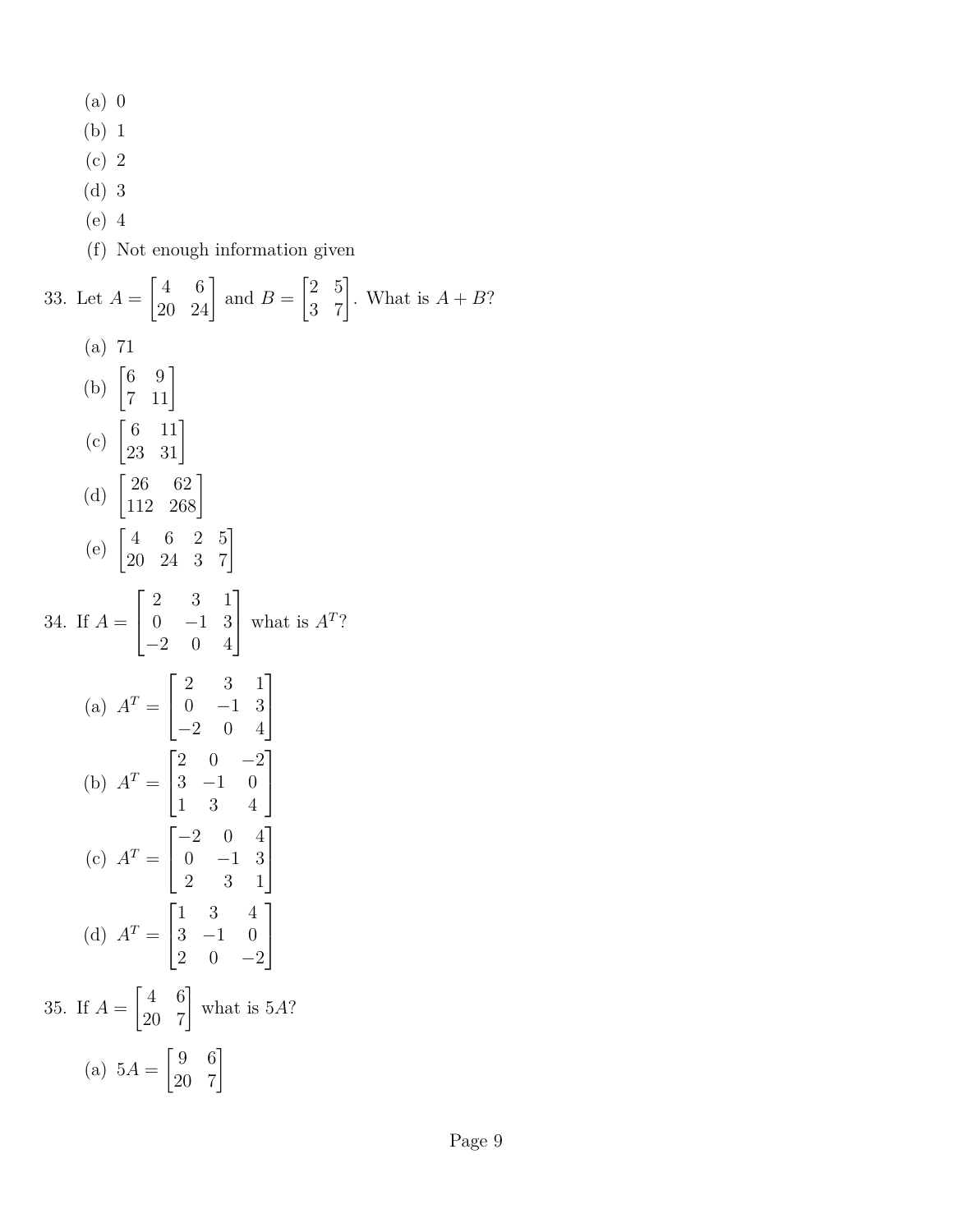| $(a)$ 0                                                                                                                                 |
|-----------------------------------------------------------------------------------------------------------------------------------------|
| (b) 1                                                                                                                                   |
| $(c)$ 2                                                                                                                                 |
| $(d)$ 3                                                                                                                                 |
| $(e)$ 4                                                                                                                                 |
| (f) Not enough information given                                                                                                        |
| 33. Let $A = \begin{bmatrix} 4 & 6 \\ 20 & 24 \end{bmatrix}$ and $B = \begin{bmatrix} 2 & 5 \\ 3 & 7 \end{bmatrix}$ . What is $A + B$ ? |
| (a) 71                                                                                                                                  |
| (b) $\begin{bmatrix} 6 & 9 \\ 7 & 11 \end{bmatrix}$                                                                                     |
| (c) $\begin{bmatrix} 6 & 11 \\ 23 & 31 \end{bmatrix}$                                                                                   |
| (d) $\begin{vmatrix} 26 & 62 \\ 112 & 268 \end{vmatrix}$                                                                                |
| (e) $\begin{bmatrix} 4 & 6 & 2 & 5 \\ 20 & 24 & 3 & 7 \end{bmatrix}$                                                                    |
| 34. If $A = \begin{bmatrix} 2 & 3 & 1 \\ 0 & -1 & 3 \\ -2 & 0 & 4 \end{bmatrix}$ what is $A^T$ ?                                        |
| (a) $A^T = \begin{bmatrix} 2 & 3 & 1 \\ 0 & -1 & 3 \\ -2 & 0 & 4 \end{bmatrix}$                                                         |
| (b) $A^T = \begin{bmatrix} 2 & 0 & -2 \\ 3 & -1 & 0 \\ 1 & 3 & 4 \end{bmatrix}$                                                         |
| (c) $A^T = \begin{bmatrix} -2 & 0 & 4 \\ 0 & -1 & 3 \\ 2 & 3 & 1 \end{bmatrix}$                                                         |
| (d) $A^T = \begin{bmatrix} 1 & 3 & 4 \\ 3 & -1 & 0 \\ 2 & 0 & -2 \end{bmatrix}$                                                         |
| 35. If $A = \begin{bmatrix} 4 & 6 \\ 20 & 7 \end{bmatrix}$ what is 5A?                                                                  |
| (a) $5A = \begin{bmatrix} 9 & 6 \\ 20 & 7 \end{bmatrix}$                                                                                |
|                                                                                                                                         |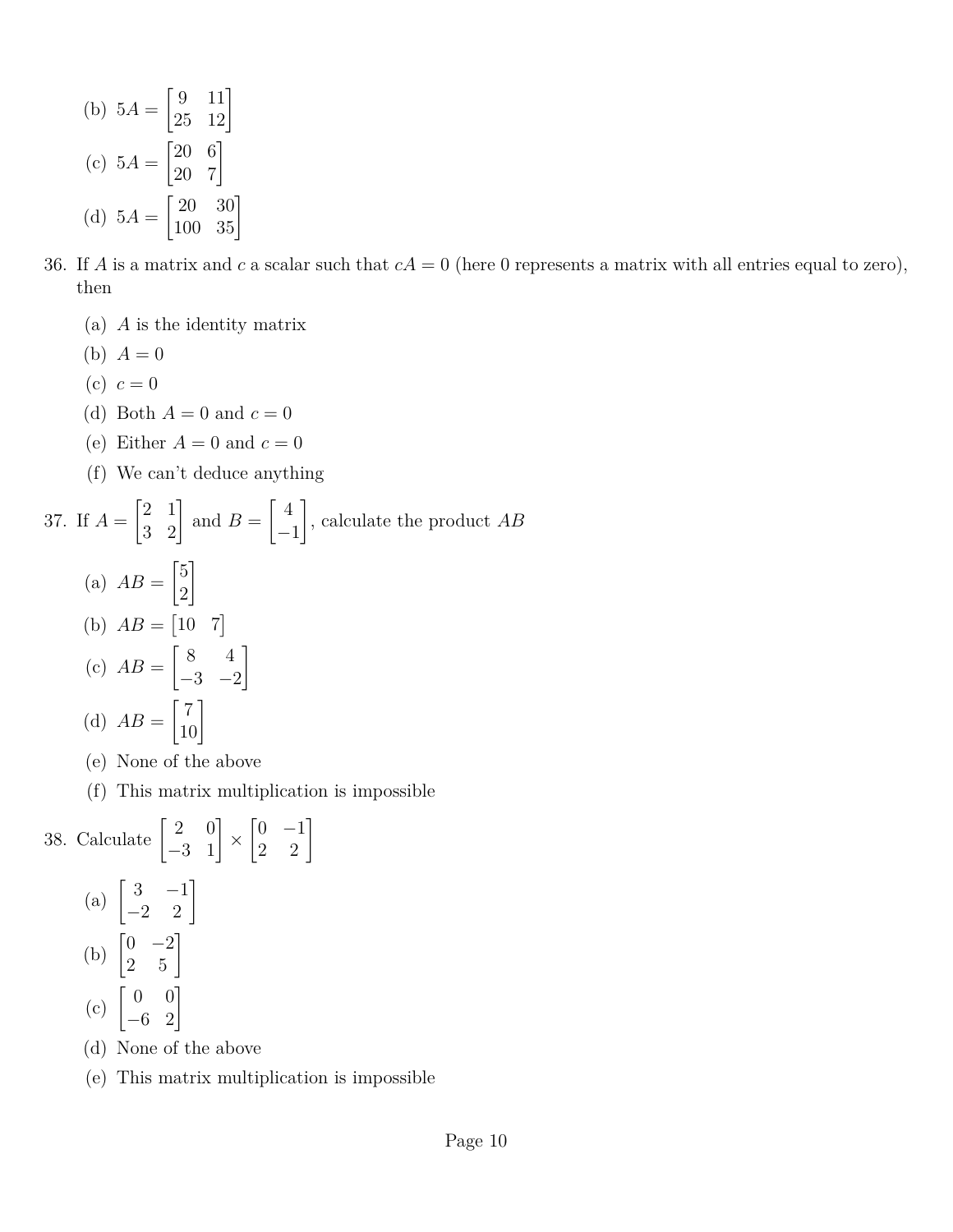(b) 
$$
5A = \begin{bmatrix} 9 & 11 \\ 25 & 12 \end{bmatrix}
$$
  
\n(c)  $5A = \begin{bmatrix} 20 & 6 \\ 20 & 7 \end{bmatrix}$   
\n(d)  $5A = \begin{bmatrix} 20 & 30 \\ 100 & 35 \end{bmatrix}$ 

- 36. If *A* is a matrix and *c* a scalar such that  $cA = 0$  (here 0 represents a matrix with all entries equal to zero), then
	- (a) *A* is the identity matrix
	- (b)  $A = 0$
	- (c)  $c = 0$
	- (d) Both  $A = 0$  and  $c = 0$
	- (e) Either  $A = 0$  and  $c = 0$
	- (f) We can't deduce anything

37. If 
$$
A = \begin{bmatrix} 2 & 1 \ 3 & 2 \end{bmatrix}
$$
 and  $B = \begin{bmatrix} 4 \ -1 \end{bmatrix}$ , calculate the product  $AB$   
\n(a)  $AB = \begin{bmatrix} 5 \ 2 \end{bmatrix}$   
\n(b)  $AB = \begin{bmatrix} 10 & 7 \ -3 & -2 \end{bmatrix}$   
\n(c)  $AB = \begin{bmatrix} 8 & 4 \ -3 & -2 \end{bmatrix}$   
\n(d)  $AB = \begin{bmatrix} 7 \ 10 \end{bmatrix}$ 

- (e) None of the above
- (f) This matrix multiplication is impossible

38. Calculate  $\begin{bmatrix} 2 & 0 \\ -3 & 1 \end{bmatrix}$  ×  $\begin{bmatrix} 0 & -1 \\ 2 & 2 \end{bmatrix}$ (a)  $\begin{bmatrix} 3 & -1 \\ -2 & 2 \end{bmatrix}$ (b)  $\begin{bmatrix} 0 & -2 \\ 2 & 5 \end{bmatrix}$  $(c) \begin{bmatrix} 0 & 0 \\ -6 & 2 \end{bmatrix}$ (d) None of the above

(e) This matrix multiplication is impossible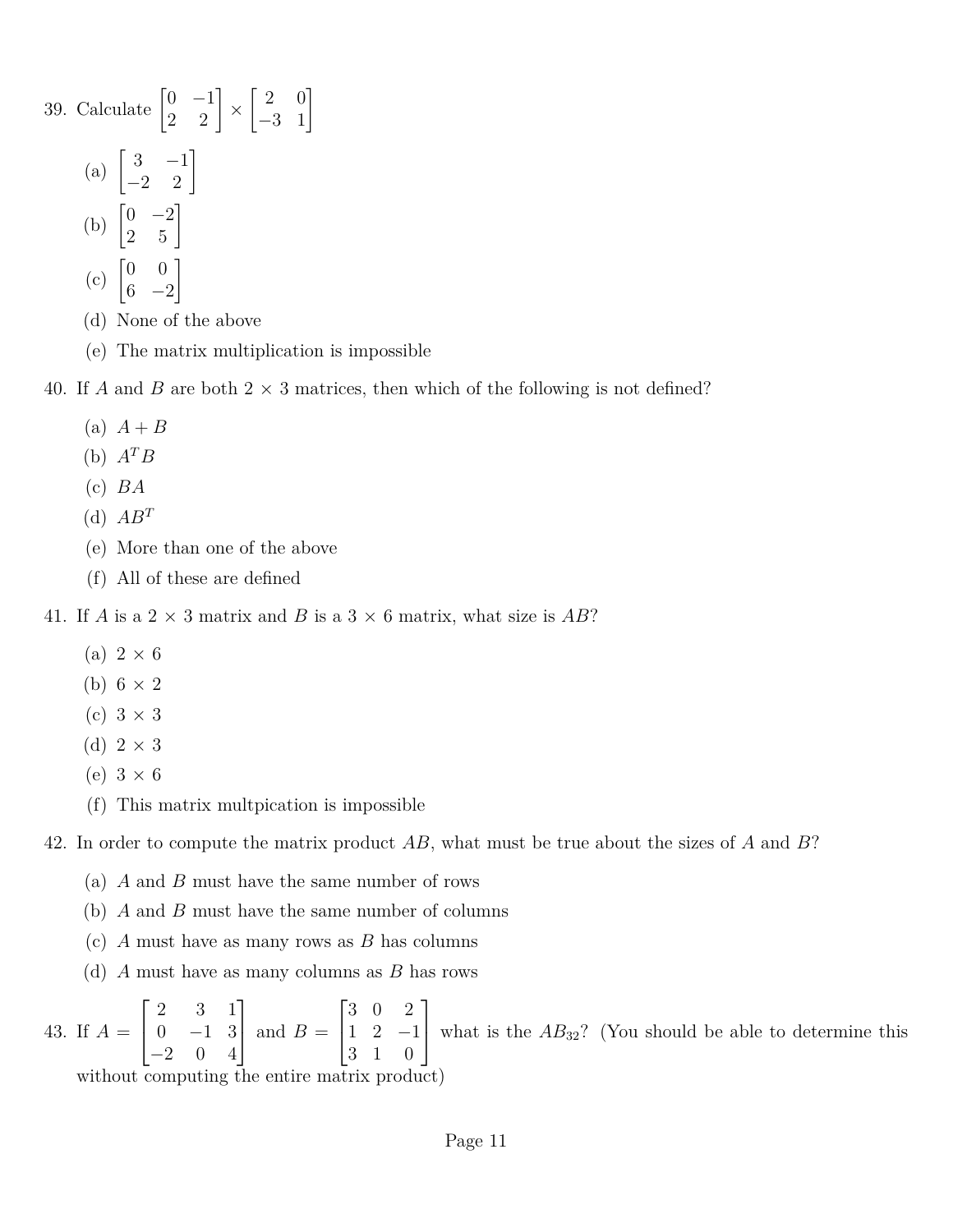39. Calculate  $\begin{bmatrix} 0 & -1 \\ 2 & 2 \end{bmatrix} \times$  $\begin{bmatrix} 2 & 0 \\ -3 & 1 \end{bmatrix}$ (a)  $\begin{bmatrix} 3 & -1 \\ -2 & 2 \end{bmatrix}$ (b)  $\begin{bmatrix} 0 & -2 \\ 2 & 5 \end{bmatrix}$  $(c)$   $\begin{bmatrix} 0 & 0 \\ c & 0 \end{bmatrix}$  $6 -2$ 1 (d) None of the above

- 
- (e) The matrix multiplication is impossible

40. If *A* and *B* are both  $2 \times 3$  matrices, then which of the following is not defined?

- $(A)$   $A + B$
- (b)  $A^T B$
- (c) *BA*
- (d)  $AB^T$
- (e) More than one of the above
- (f) All of these are defined

41. If *A* is a 2  $\times$  3 matrix and *B* is a 3  $\times$  6 matrix, what size is *AB*?

- (a)  $2 \times 6$
- (b)  $6 \times 2$
- (c)  $3 \times 3$
- (d)  $2 \times 3$
- (e)  $3 \times 6$
- (f) This matrix multpication is impossible

42. In order to compute the matrix product *AB*, what must be true about the sizes of *A* and *B*?

- (a) *A* and *B* must have the same number of rows
- (b) *A* and *B* must have the same number of columns
- (c) *A* must have as many rows as *B* has columns
- (d) *A* must have as many columns as *B* has rows

43. If *A* =  $\sqrt{ }$  $\overline{1}$ 2 3 1  $0 \t -1 \t 3$ −2 0 4 1 | and  $B =$  $\sqrt{ }$  $\overline{1}$ 3 0 2 1 2 −1 3 1 0 1 what is the  $AB_{32}$ ? (You should be able to determine this

without computing the entire matrix product)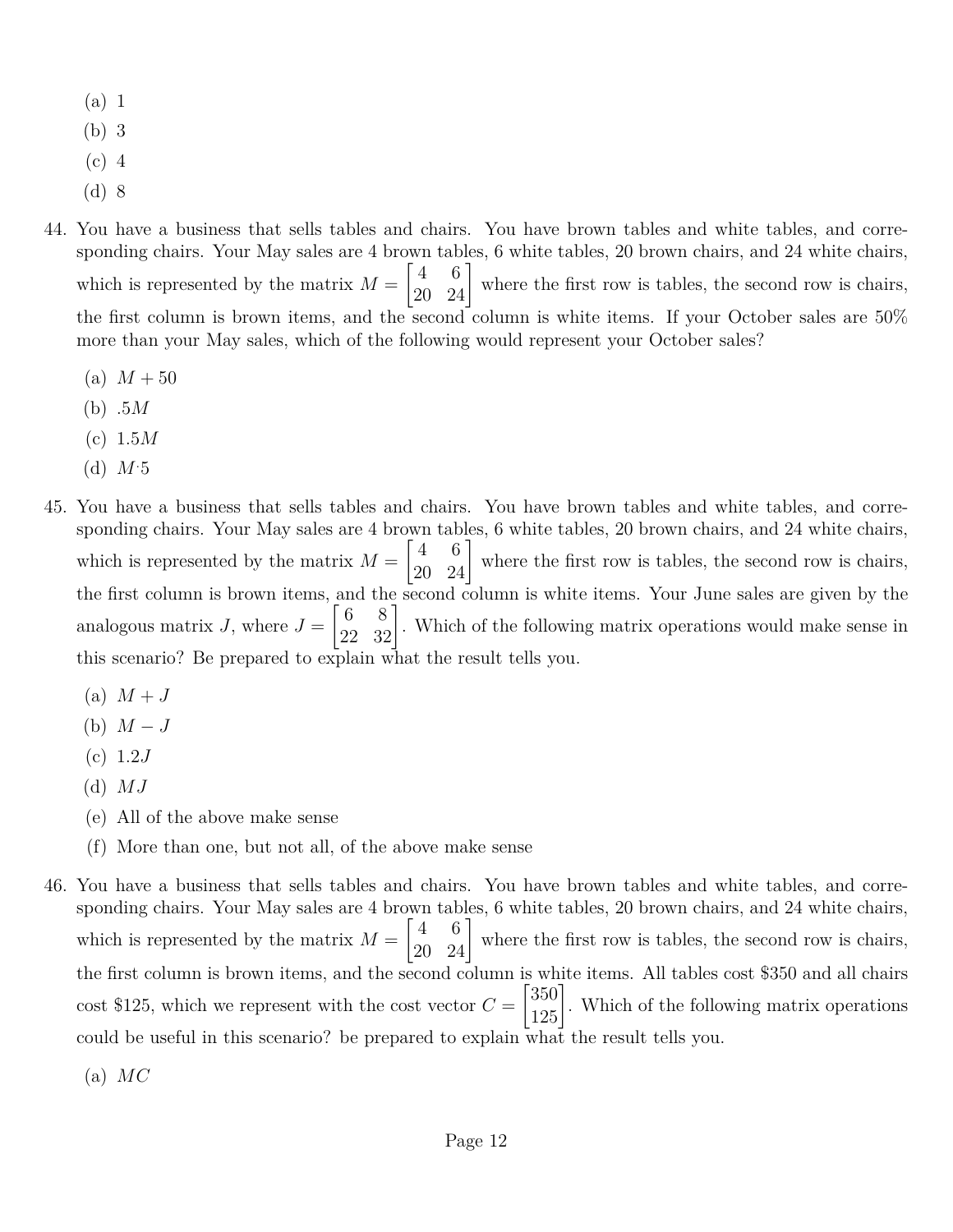- (a) 1
- (b) 3
- (c) 4
- (d) 8
- 44. You have a business that sells tables and chairs. You have brown tables and white tables, and corresponding chairs. Your May sales are 4 brown tables, 6 white tables, 20 brown chairs, and 24 white chairs, which is represented by the matrix  $M =$  $\begin{bmatrix} 4 & 6 \\ 20 & 24 \end{bmatrix}$  where the first row is tables, the second row is chairs, the first column is brown items, and the second column is white items. If your October sales are 50% more than your May sales, which of the following would represent your October sales?
	- (a)  $M + 50$
	- (b) .5*M*
	- (c) 1.5*M*
	- (d) *M.*5
- 45. You have a business that sells tables and chairs. You have brown tables and white tables, and corresponding chairs. Your May sales are 4 brown tables, 6 white tables, 20 brown chairs, and 24 white chairs, which is represented by the matrix  $M =$  $\begin{bmatrix} 4 & 6 \\ 20 & 24 \end{bmatrix}$  where the first row is tables, the second row is chairs, the first column is brown items, and the second column is white items. Your June sales are given by the analogous matrix  $J$ , where  $J =$  $\begin{bmatrix} 6 & 8 \\ 22 & 32 \end{bmatrix}$ . Which of the following matrix operations would make sense in this scenario? Be prepared to explain what the result tells you.
	- $(a)$   $M + J$
	- (b)  $M-J$
	- (c) 1.2*J*
	- (d) *MJ*
	- (e) All of the above make sense
	- (f) More than one, but not all, of the above make sense
- 46. You have a business that sells tables and chairs. You have brown tables and white tables, and corresponding chairs. Your May sales are 4 brown tables, 6 white tables, 20 brown chairs, and 24 white chairs, which is represented by the matrix  $M =$  $\begin{bmatrix} 4 & 6 \\ 20 & 24 \end{bmatrix}$  where the first row is tables, the second row is chairs, the first column is brown items, and the second column is white items. All tables cost \$350 and all chairs  $\cos t$  \$125, which we represent with the cost vector  $C =$  $\begin{bmatrix} 350 \\ 125 \end{bmatrix}$ . Which of the following matrix operations could be useful in this scenario? be prepared to explain what the result tells you.
	- (a) *MC*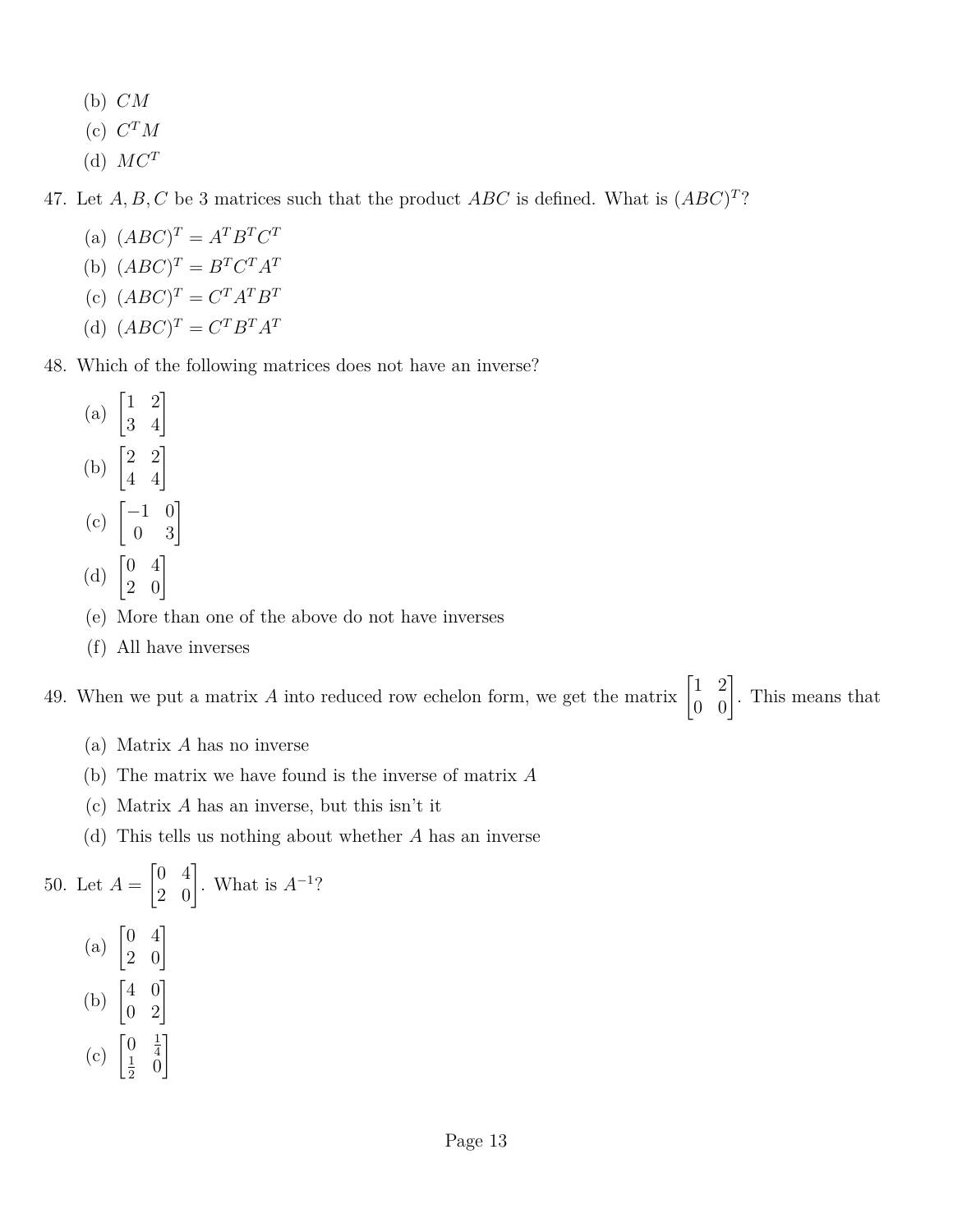- (b) *CM*
- $(C)$   $C^{T}M$
- (d)  $MC^T$

47. Let  $A, B, C$  be 3 matrices such that the product  $ABC$  is defined. What is  $(ABC)^T$ ?

- (a)  $(ABC)^T = A^T B^T C^T$
- (b)  $(ABC)^T = B^T C^T A^T$
- (c)  $(ABC)^T = C^T A^T B^T$
- (d)  $(ABC)^T = C^T B^T A^T$

48. Which of the following matrices does not have an inverse?

- (a)  $\begin{bmatrix} 1 & 2 \\ 3 & 4 \end{bmatrix}$ (b)  $\begin{bmatrix} 2 & 2 \\ 4 & 4 \end{bmatrix}$  $(c) \begin{bmatrix} -1 & 0 \\ 0 & 3 \end{bmatrix}$
- (d)  $\begin{bmatrix} 0 & 4 \\ 2 & 0 \end{bmatrix}$
- (e) More than one of the above do not have inverses
- (f) All have inverses

49. When we put a matrix A into reduced row echelon form, we get the matrix  $\begin{bmatrix} 1 & 2 \\ 0 & 0 \end{bmatrix}$ . This means that

- (a) Matrix *A* has no inverse
- (b) The matrix we have found is the inverse of matrix *A*
- (c) Matrix *A* has an inverse, but this isn't it
- (d) This tells us nothing about whether *A* has an inverse

50. Let 
$$
A = \begin{bmatrix} 0 & 4 \\ 2 & 0 \end{bmatrix}
$$
. What is  $A^{-1}$ ?  
\n(a)  $\begin{bmatrix} 0 & 4 \\ 2 & 0 \end{bmatrix}$   
\n(b)  $\begin{bmatrix} 4 & 0 \\ 0 & 2 \end{bmatrix}$   
\n(c)  $\begin{bmatrix} 0 & \frac{1}{4} \\ \frac{1}{2} & 0 \end{bmatrix}$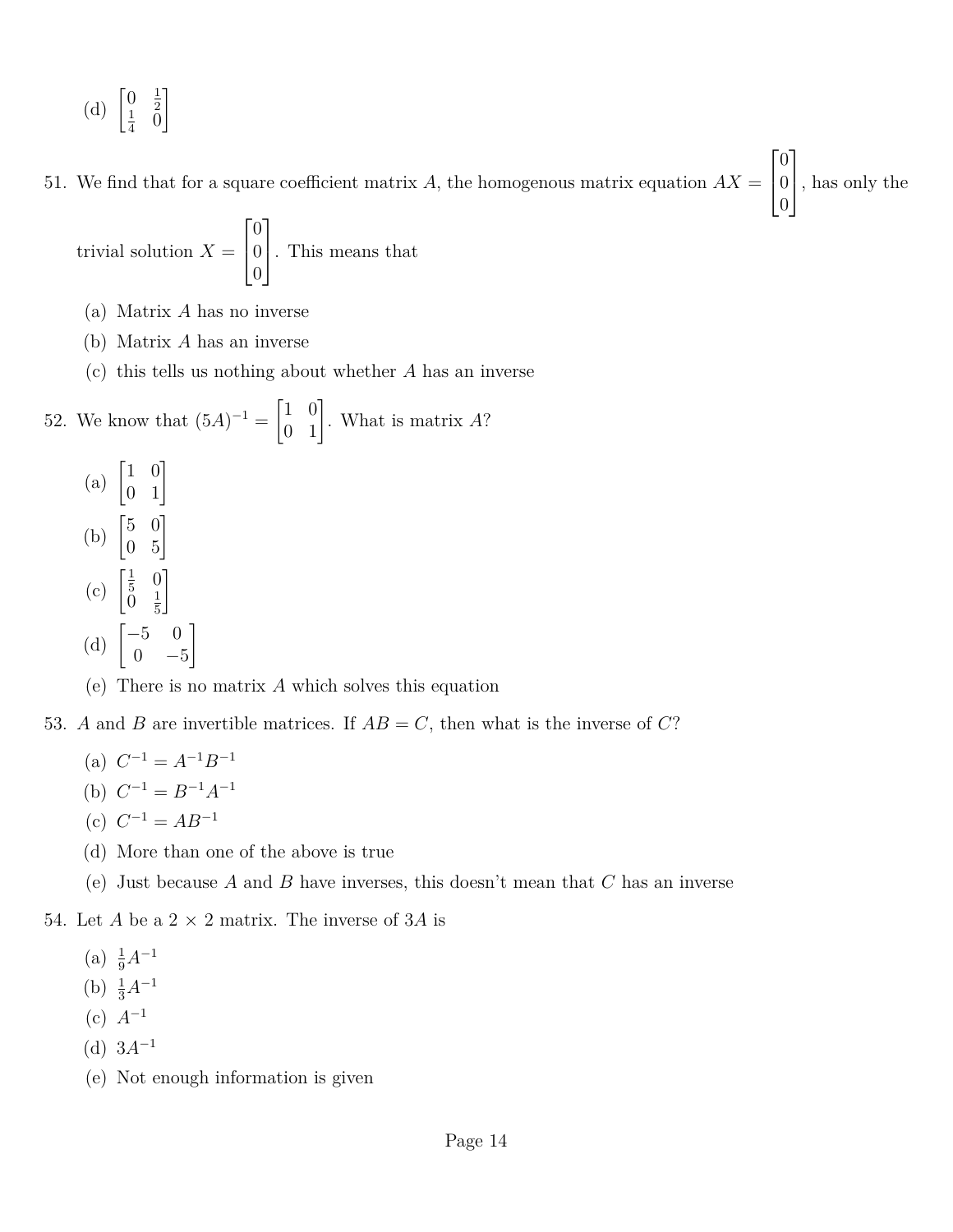(d)  $\begin{bmatrix} 0 & \frac{1}{2} \\ 1 & 0 \end{bmatrix}$  $\begin{matrix} 0 & 2 \\ 1 & 0 \end{matrix}$  $rac{1}{4}$  0 1

51. We find that for a square coefficient matrix  $A$ , the homogenous matrix equation  $AX =$  $\overline{1}$  $\overline{0}$ 0 , has only the

 $\lceil$ 

 $\overline{0}$ 

1

trivial solution 
$$
X = \begin{bmatrix} 0 \\ 0 \\ 0 \end{bmatrix}
$$
. This means that

- (a) Matrix *A* has no inverse
- (b) Matrix *A* has an inverse
- (c) this tells us nothing about whether *A* has an inverse

52. We know that 
$$
(5A)^{-1} = \begin{bmatrix} 1 & 0 \\ 0 & 1 \end{bmatrix}
$$
. What is matrix A?

(a)  $\begin{bmatrix} 1 & 0 \\ 0 & 1 \end{bmatrix}$ (b)  $\begin{bmatrix} 5 & 0 \\ 0 & 5 \end{bmatrix}$ (c)  $\begin{bmatrix} \frac{1}{5} \\ 0 \end{bmatrix}$  $rac{1}{5}$  0  $0 \frac{1}{5}$ 5 1 (d)  $\begin{bmatrix} -5 & 0 \\ 0 & 0 \end{bmatrix}$  $0 -5$ 1

(e) There is no matrix *A* which solves this equation

- 53. *A* and *B* are invertible matrices. If  $AB = C$ , then what is the inverse of *C*?
	- (a)  $C^{-1} = A^{-1}B^{-1}$
	- (b)  $C^{-1} = B^{-1}A^{-1}$
	- (c)  $C^{-1} = AB^{-1}$
	- (d) More than one of the above is true
	- (e) Just because *A* and *B* have inverses, this doesn't mean that *C* has an inverse
- 54. Let *A* be a  $2 \times 2$  matrix. The inverse of 3*A* is
	- (a)  $\frac{1}{9}A^{-1}$
	- (b)  $\frac{1}{3}A^{-1}$
	- (c) *A*<sup>−</sup><sup>1</sup>
	- (d)  $3A^{-1}$
	- (e) Not enough information is given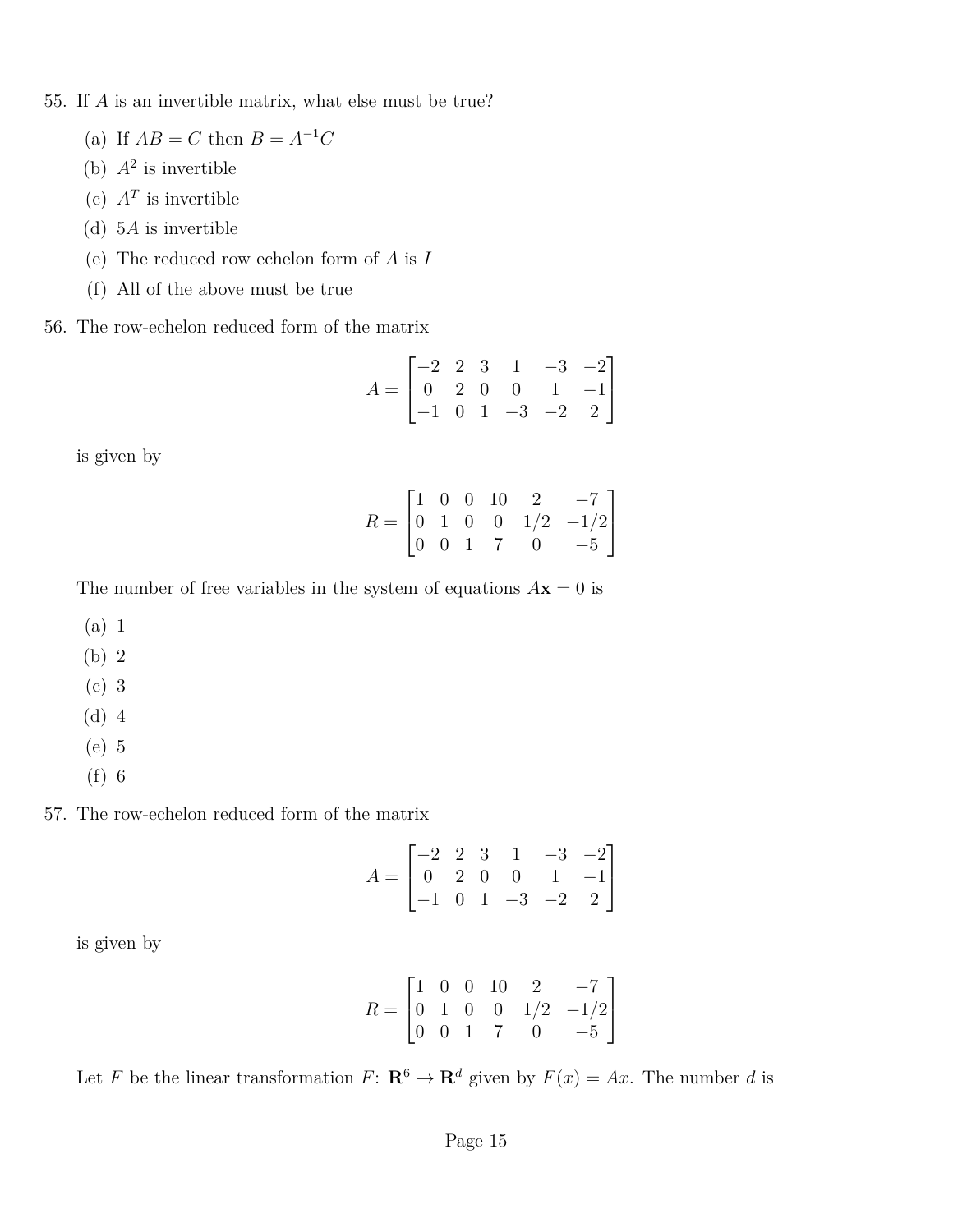55. If *A* is an invertible matrix, what else must be true?

- (a) If  $AB = C$  then  $B = A^{-1}C$
- (b)  $A^2$  is invertible
- (c)  $A^T$  is invertible
- (d) 5*A* is invertible
- (e) The reduced row echelon form of *A* is *I*
- (f) All of the above must be true
- 56. The row-echelon reduced form of the matrix

$$
A = \begin{bmatrix} -2 & 2 & 3 & 1 & -3 & -2 \\ 0 & 2 & 0 & 0 & 1 & -1 \\ -1 & 0 & 1 & -3 & -2 & 2 \end{bmatrix}
$$

is given by

$$
R = \begin{bmatrix} 1 & 0 & 0 & 10 & 2 & -7 \\ 0 & 1 & 0 & 0 & 1/2 & -1/2 \\ 0 & 0 & 1 & 7 & 0 & -5 \end{bmatrix}
$$

The number of free variables in the system of equations  $A$ **x** = 0 is

- (a) 1
- (b) 2
- (c) 3
- (d) 4
- (e) 5
- (f) 6

57. The row-echelon reduced form of the matrix

$$
A = \begin{bmatrix} -2 & 2 & 3 & 1 & -3 & -2 \\ 0 & 2 & 0 & 0 & 1 & -1 \\ -1 & 0 & 1 & -3 & -2 & 2 \end{bmatrix}
$$

is given by

$$
R = \begin{bmatrix} 1 & 0 & 0 & 10 & 2 & -7 \\ 0 & 1 & 0 & 0 & 1/2 & -1/2 \\ 0 & 0 & 1 & 7 & 0 & -5 \end{bmatrix}
$$

Let *F* be the linear transformation *F*:  $\mathbb{R}^6 \to \mathbb{R}^d$  given by  $F(x) = Ax$ . The number *d* is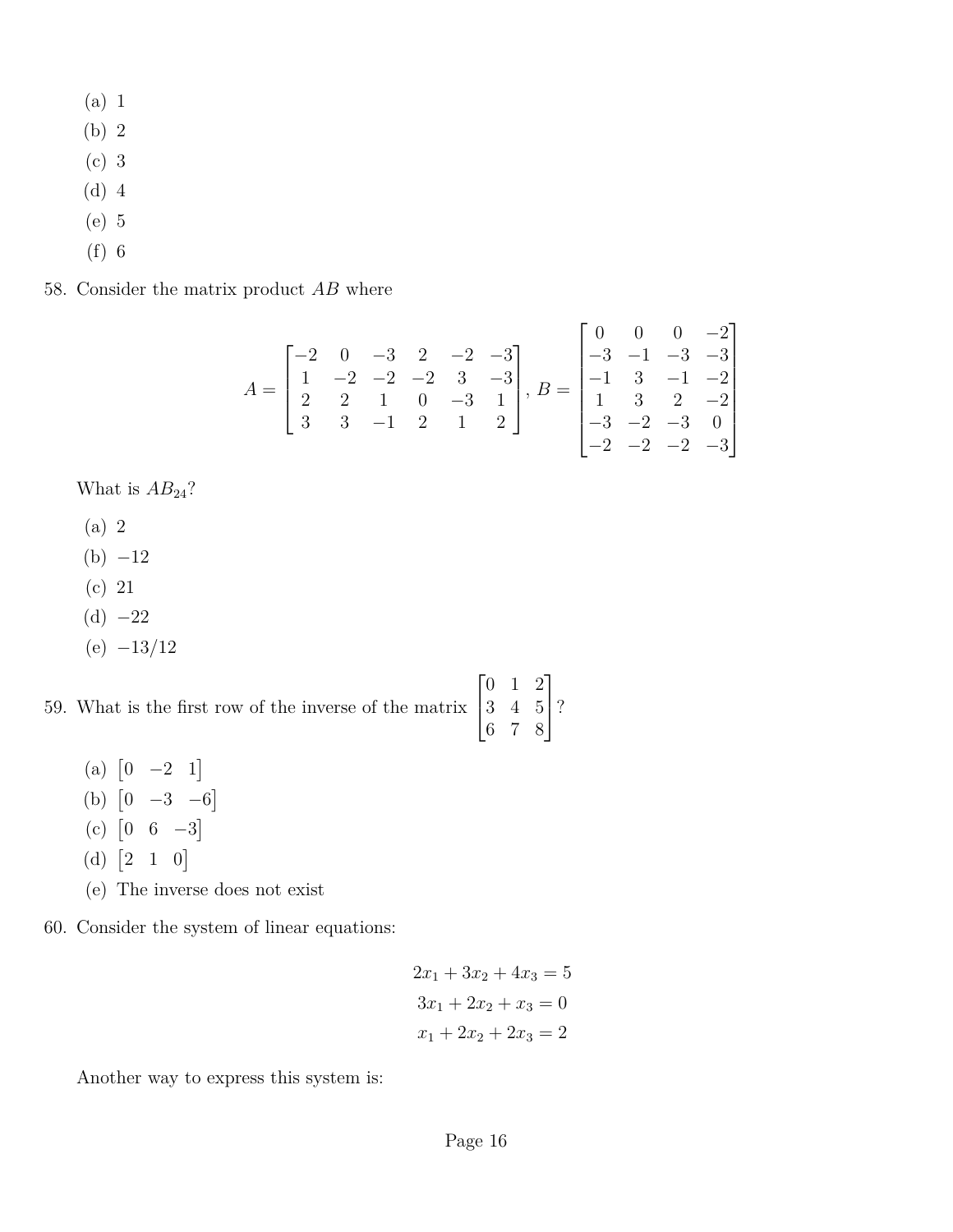- (a) 1
- (b) 2
- (c) 3
- (d) 4
- (e) 5
- (f) 6

58. Consider the matrix product *AB* where

$$
A = \begin{bmatrix} -2 & 0 & -3 & 2 & -2 & -3 \\ 1 & -2 & -2 & -2 & 3 & -3 \\ 2 & 2 & 1 & 0 & -3 & 1 \\ 3 & 3 & -1 & 2 & 1 & 2 \end{bmatrix}, B = \begin{bmatrix} 0 & 0 & 0 & -2 \\ -3 & -1 & -3 & -3 \\ -1 & 3 & -1 & -2 \\ 1 & 3 & 2 & -2 \\ -3 & -2 & -3 & 0 \\ -2 & -2 & -2 & -3 \end{bmatrix}
$$

What is  $AB_{24}$ ?

- (a) 2
- $(b) -12$
- (c) 21
- $(d) -22$
- (e) −13*/*12

59. What is the first row of the inverse of the matrix  $\sqrt{ }$  $\overline{1}$ 0 1 2 3 4 5 6 7 8 1  $\mid$ ?

- (a)  $\begin{bmatrix} 0 & -2 & 1 \end{bmatrix}$
- (b)  $\begin{bmatrix} 0 & -3 & -6 \end{bmatrix}$
- $(c)$   $[0 \ 6 \ -3]$
- (d)  $[2 \ 1 \ 0]$
- (e) The inverse does not exist
- 60. Consider the system of linear equations:

$$
2x_1 + 3x_2 + 4x_3 = 5
$$
  

$$
3x_1 + 2x_2 + x_3 = 0
$$
  

$$
x_1 + 2x_2 + 2x_3 = 2
$$

Another way to express this system is: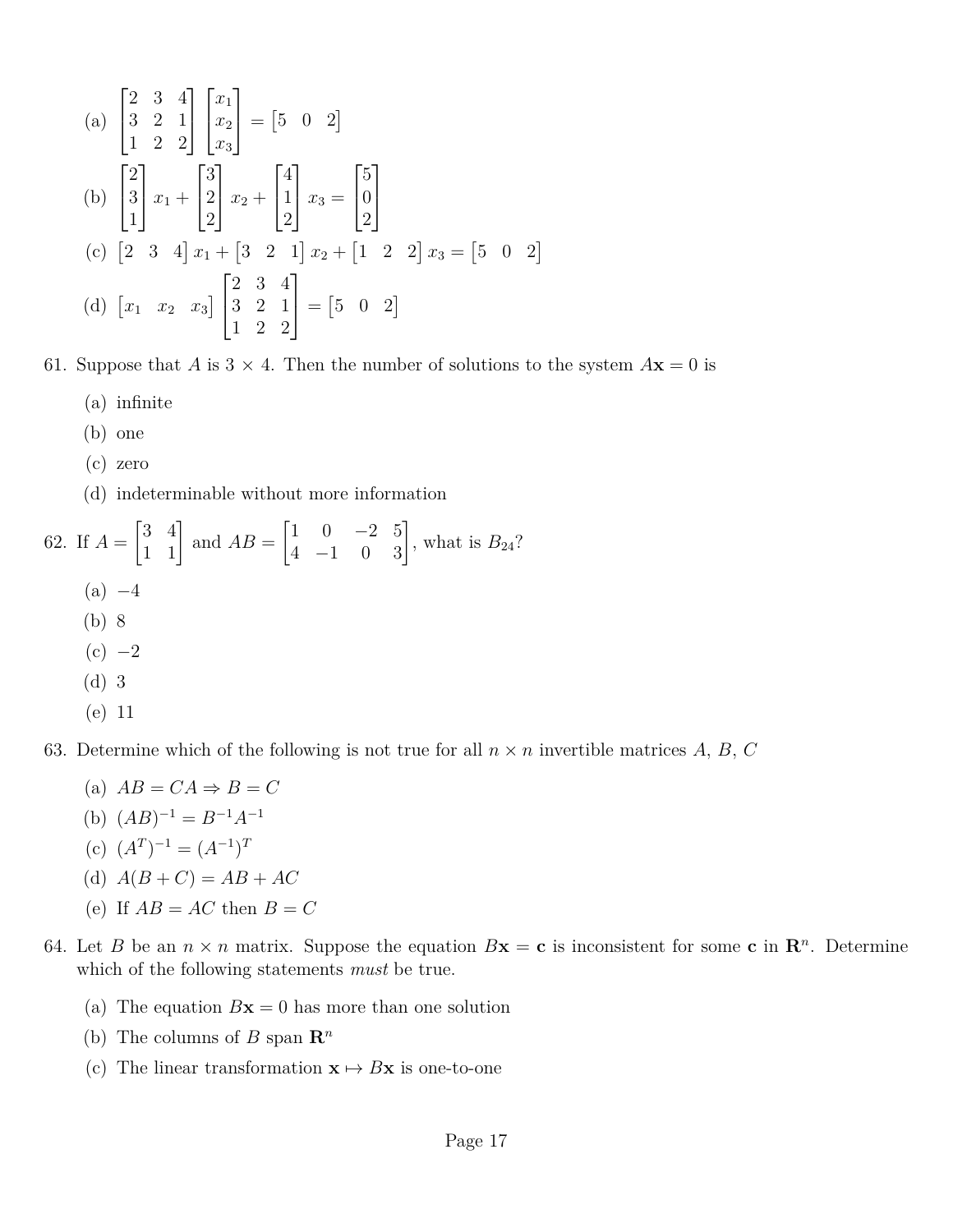(a) 
$$
\begin{bmatrix} 2 & 3 & 4 \\ 3 & 2 & 1 \\ 1 & 2 & 2 \end{bmatrix} \begin{bmatrix} x_1 \\ x_2 \\ x_3 \end{bmatrix} = \begin{bmatrix} 5 & 0 & 2 \end{bmatrix}
$$
  
\n(b) 
$$
\begin{bmatrix} 2 \\ 3 \\ 1 \end{bmatrix} x_1 + \begin{bmatrix} 3 \\ 2 \\ 2 \end{bmatrix} x_2 + \begin{bmatrix} 4 \\ 1 \\ 2 \end{bmatrix} x_3 = \begin{bmatrix} 5 \\ 0 \\ 2 \end{bmatrix}
$$
  
\n(c) 
$$
\begin{bmatrix} 2 & 3 & 4 \end{bmatrix} x_1 + \begin{bmatrix} 3 & 2 & 1 \end{bmatrix} x_2 + \begin{bmatrix} 1 & 2 & 2 \end{bmatrix} x_3 = \begin{bmatrix} 5 & 0 & 2 \end{bmatrix}
$$
  
\n(d) 
$$
\begin{bmatrix} x_1 & x_2 & x_3 \end{bmatrix} \begin{bmatrix} 2 & 3 & 4 \\ 3 & 2 & 1 \\ 1 & 2 & 2 \end{bmatrix} = \begin{bmatrix} 5 & 0 & 2 \end{bmatrix}
$$

61. Suppose that *A* is  $3 \times 4$ . Then the number of solutions to the system  $A$ **x** = 0 is

- (a) infinite
- (b) one
- (c) zero
- (d) indeterminable without more information

62. If  $A =$  $\begin{bmatrix} 3 & 4 \\ 1 & 1 \end{bmatrix}$  and  $AB =$  $\begin{bmatrix} 1 & 0 & -2 & 5 \\ 4 & -1 & 0 & 3 \end{bmatrix}$ , what is  $B_{24}$ ?  $(a) -4$ (b) 8  $(c) -2$ (d) 3

$$
(e) 11
$$

63. Determine which of the following is not true for all  $n \times n$  invertible matrices A, B, C

- $(A) AB = CA \Rightarrow B = C$
- (b)  $(AB)^{-1} = B^{-1}A^{-1}$
- (c)  $(A^T)^{-1} = (A^{-1})^T$
- (d)  $A(B+C) = AB + AC$
- (e) If  $AB = AC$  then  $B = C$
- 64. Let *B* be an  $n \times n$  matrix. Suppose the equation  $Bx = c$  is inconsistent for some c in  $\mathbb{R}^n$ . Determine which of the following statements *must* be true.
	- (a) The equation  $Bx = 0$  has more than one solution
	- (b) The columns of *B* span  $\mathbb{R}^n$
	- (c) The linear transformation  $\mathbf{x} \mapsto B\mathbf{x}$  is one-to-one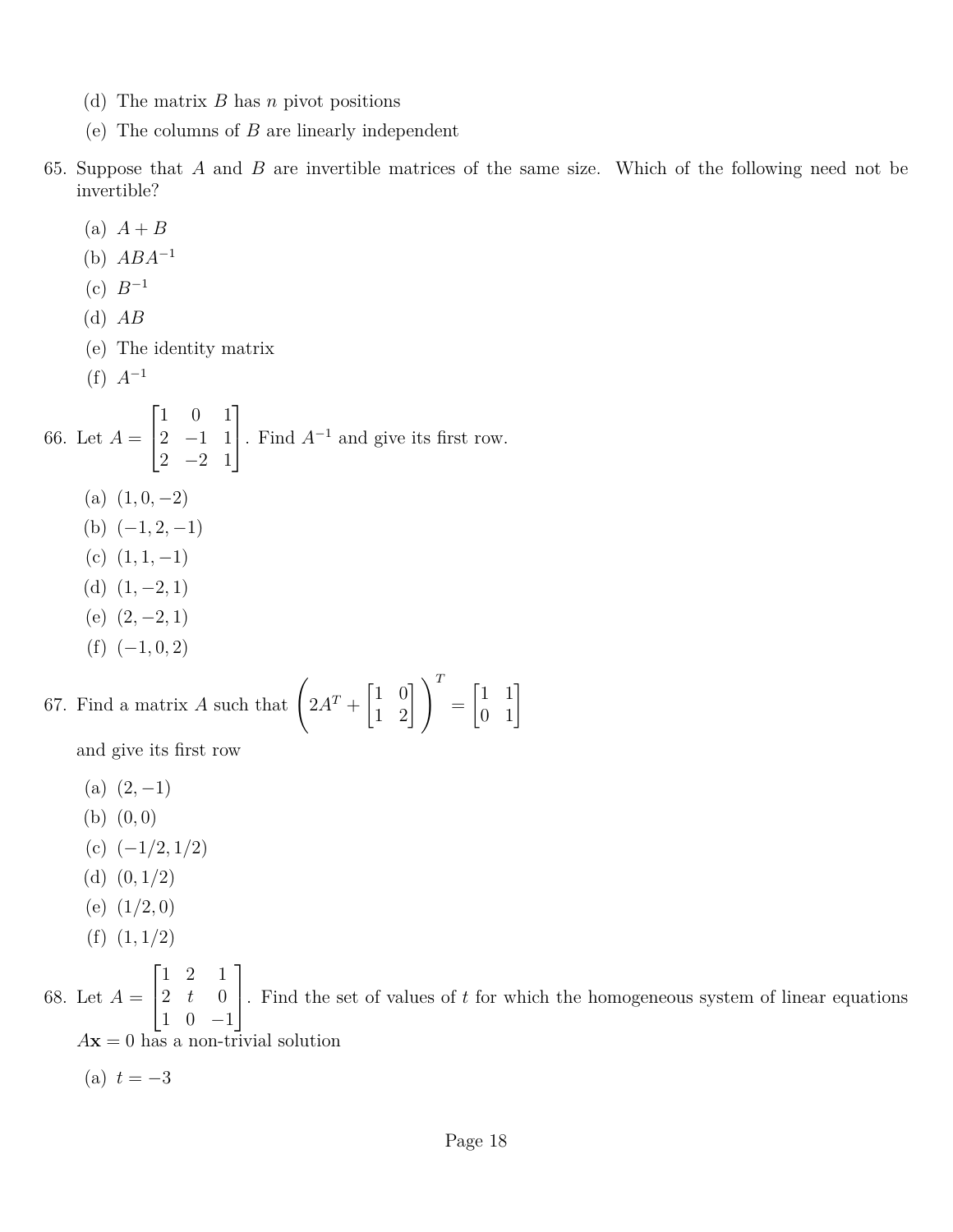- (d) The matrix *B* has *n* pivot positions
- (e) The columns of *B* are linearly independent
- 65. Suppose that *A* and *B* are invertible matrices of the same size. Which of the following need not be invertible?
	- (a)  $A + B$ (b) *ABA*<sup>−</sup><sup>1</sup>
	- $(c) B^{-1}$
	- (d) *AB*
	- (e) The identity matrix
	- (f) *A*<sup>−</sup><sup>1</sup>

66. Let  $A =$  $\sqrt{ }$  $\overline{1}$ 1 0 1 2 −1 1 2 −2 1 1 . Find *<sup>A</sup>*<sup>−</sup><sup>1</sup> and give its first row.  $(a)$   $(1, 0, -2)$ (b)  $(-1, 2, -1)$ (c)  $(1, 1, -1)$ (d)  $(1, -2, 1)$  $(e)$   $(2, -2, 1)$  $(f)$   $(-1, 0, 2)$ 67. Find a matrix *A* such that  $\left(2A^T + \begin{bmatrix} 1 & 0 \\ 1 & 2 \end{bmatrix} \right)^T =$  $\begin{bmatrix} 1 & 1 \\ 0 & 1 \end{bmatrix}$ 

## and give its first row

- $(a)$   $(2, -1)$
- (b) (0*,* 0)
- (c) (−1*/*2*,* 1*/*2)
- 
- (d) (0*,* 1*/*2)
- (e) (1*/*2*,* 0)
- (f) (1*,* 1*/*2)

68. Let  $A =$  $\sqrt{ }$  $\vert$ 1 2 1 2 *t* 0 1 0 −1 1 . Find the set of values of *<sup>t</sup>* for which the homogeneous system of linear equations  $A$ **x** = 0 has a non-trivial solution

 $(a) t = -3$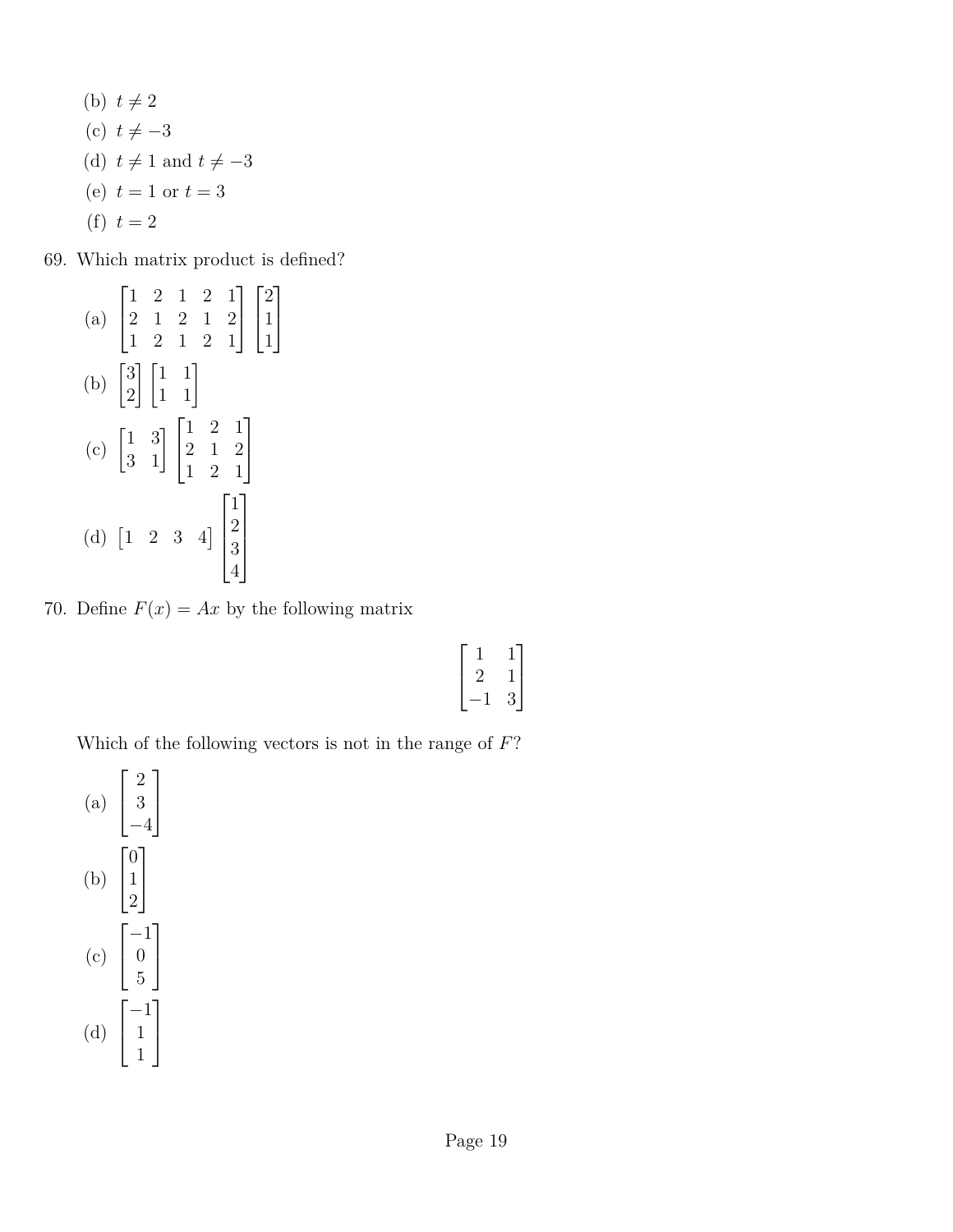- (b)  $t \neq 2$
- (c)  $t \neq -3$
- (d)  $t \neq 1$  and  $t \neq -3$
- (e)  $t = 1$  or  $t = 3$
- (f)  $t = 2$

69. Which matrix product is defined?

|                                                                                                                      |  |  | (a) $\begin{bmatrix} 1 & 2 & 1 & 2 & 1 \\ 2 & 1 & 2 & 1 & 2 \\ 1 & 2 & 1 & 2 & 1 \end{bmatrix} \begin{bmatrix} 2 \\ 1 \\ 1 \end{bmatrix}$ |
|----------------------------------------------------------------------------------------------------------------------|--|--|-------------------------------------------------------------------------------------------------------------------------------------------|
| (b) $\begin{bmatrix} 3 \\ 2 \end{bmatrix} \begin{bmatrix} 1 & 1 \\ 1 & 1 \end{bmatrix}$                              |  |  |                                                                                                                                           |
| (c) $\begin{bmatrix} 1 & 3 \\ 3 & 1 \end{bmatrix} \begin{bmatrix} 1 & 2 & 1 \\ 2 & 1 & 2 \\ 1 & 2 & 1 \end{bmatrix}$ |  |  |                                                                                                                                           |
| (d) $\begin{bmatrix} 1 & 2 & 3 & 4 \end{bmatrix} \begin{bmatrix} 1 \\ 2 \\ 3 \\ 4 \end{bmatrix}$                     |  |  |                                                                                                                                           |

70. Define  $F(x) = Ax$  by the following matrix

|  | 9 |
|--|---|

Which of the following vectors is not in the range of *F*?

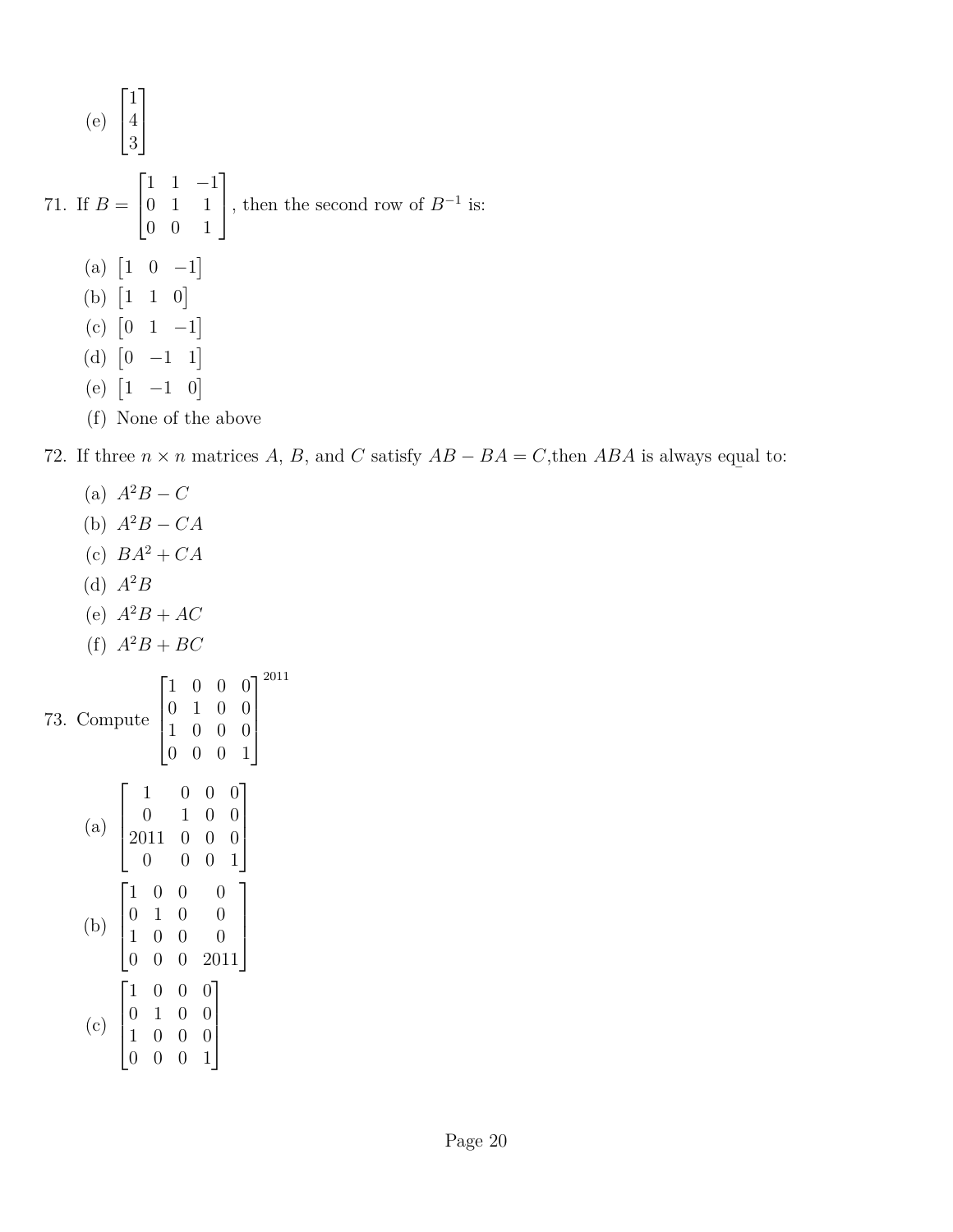(e) 
$$
\begin{bmatrix} 1 \\ 4 \\ 3 \end{bmatrix}
$$
  
71. If  $B = \begin{bmatrix} 1 & 1 & -1 \\ 0 & 1 & 1 \\ 0 & 0 & 1 \end{bmatrix}$ , then the second row of  $B^{-1}$  is:  
(a)  $\begin{bmatrix} 1 & 0 & -1 \end{bmatrix}$   
(b)  $\begin{bmatrix} 1 & 1 & 0 \end{bmatrix}$   
(c)  $\begin{bmatrix} 0 & 1 & -1 \end{bmatrix}$   
(d)  $\begin{bmatrix} 0 & -1 & 1 \end{bmatrix}$   
(e)  $\begin{bmatrix} 1 & -1 & 0 \end{bmatrix}$   
(f) None of the above

72. If three  $n \times n$  matrices *A*, *B*, and *C* satisfy  $AB - BA = C$ , then  $ABA$  is always equal ¯ to: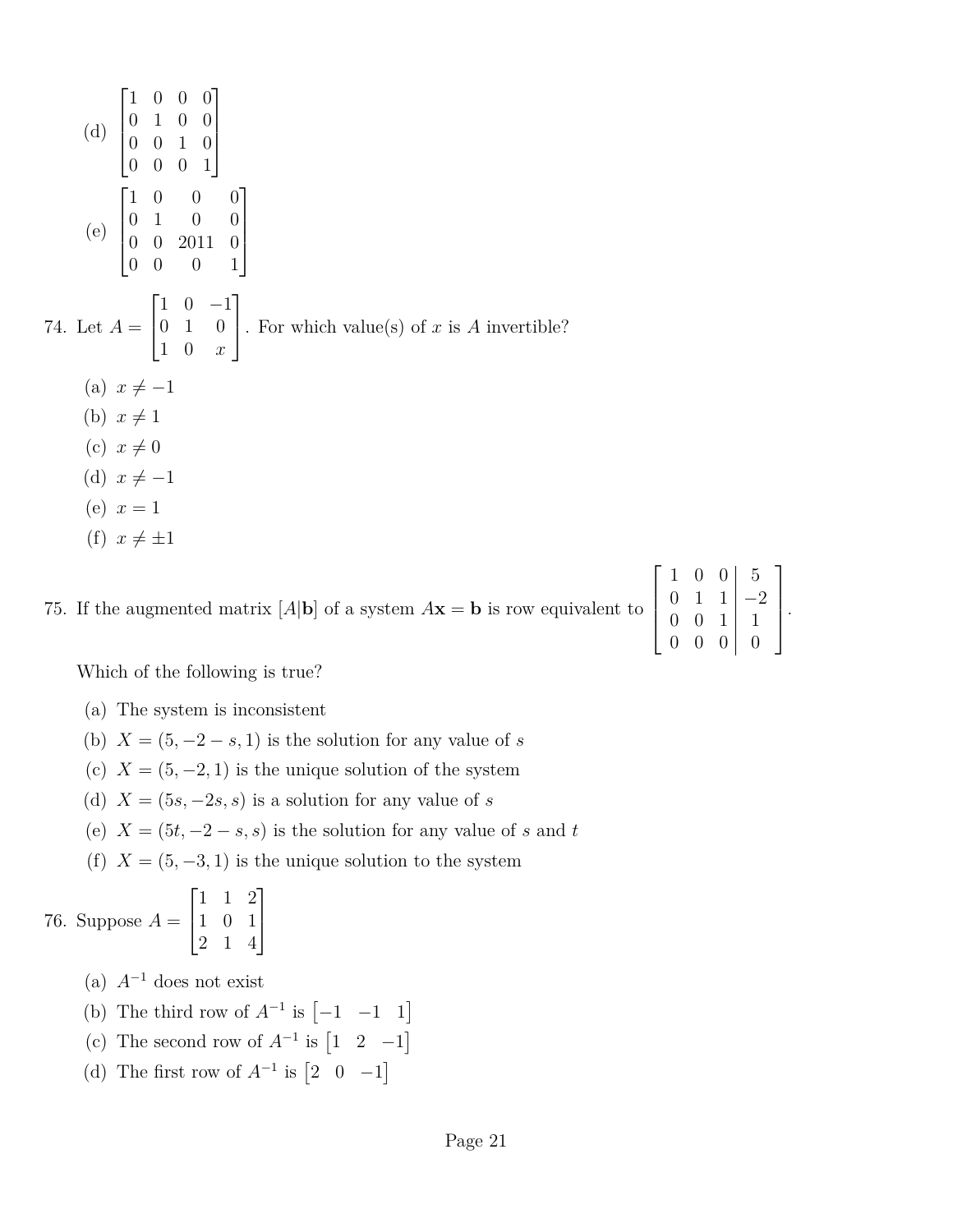(d) 
$$
\begin{bmatrix} 1 & 0 & 0 & 0 \\ 0 & 1 & 0 & 0 \\ 0 & 0 & 1 & 0 \\ 0 & 0 & 0 & 1 \end{bmatrix}
$$
  
\n(e) 
$$
\begin{bmatrix} 1 & 0 & 0 & 0 \\ 0 & 1 & 0 & 0 \\ 0 & 0 & 2011 & 0 \\ 0 & 0 & 0 & 1 \end{bmatrix}
$$
  
\n74. Let  $A = \begin{bmatrix} 1 & 0 & -1 \\ 0 & 1 & 0 \\ 1 & 0 & x \end{bmatrix}$ . For which value(s) of x is A invertible?  
\n(a)  $x \neq -1$   
\n(b)  $x \neq 1$   
\n(c)  $x \neq 0$   
\n(d)  $x \neq -1$   
\n(e)  $x = 1$ 

(f)  $x \neq \pm 1$ 

75. If the augmented matrix  $[A|\mathbf{b}]$  of a system  $A\mathbf{x} = \mathbf{b}$  is row equivalent to

|          | $\overline{0}$ | 0              | $\overline{5}$ |  |
|----------|----------------|----------------|----------------|--|
| $\Omega$ | $\mathbf{1}$   | $\mathbf{1}$   | $-2$           |  |
| $\Omega$ | $\overline{0}$ |                | 1              |  |
| 0        | $\overline{0}$ | $\overline{0}$ | $\cap$         |  |

Which of the following is true?

- (a) The system is inconsistent
- (b)  $X = (5, -2 s, 1)$  is the solution for any value of *s*
- (c)  $X = (5, -2, 1)$  is the unique solution of the system
- (d)  $X = (5s, -2s, s)$  is a solution for any value of *s*
- (e)  $X = (5t, -2 s, s)$  is the solution for any value of *s* and *t*
- (f)  $X = (5, -3, 1)$  is the unique solution to the system

## 76. Suppose  $A =$  $\lceil$  $\overline{\phantom{a}}$ 1 1 2 1 0 1 2 1 4 1  $\vert$

- (a)  $A^{-1}$  does not exist
- (b) The third row of  $A^{-1}$  is  $[-1 \ -1 \ 1]$
- (c) The second row of  $A^{-1}$  is  $\begin{bmatrix} 1 & 2 & -1 \end{bmatrix}$
- (d) The first row of  $A^{-1}$  is  $\begin{bmatrix} 2 & 0 & -1 \end{bmatrix}$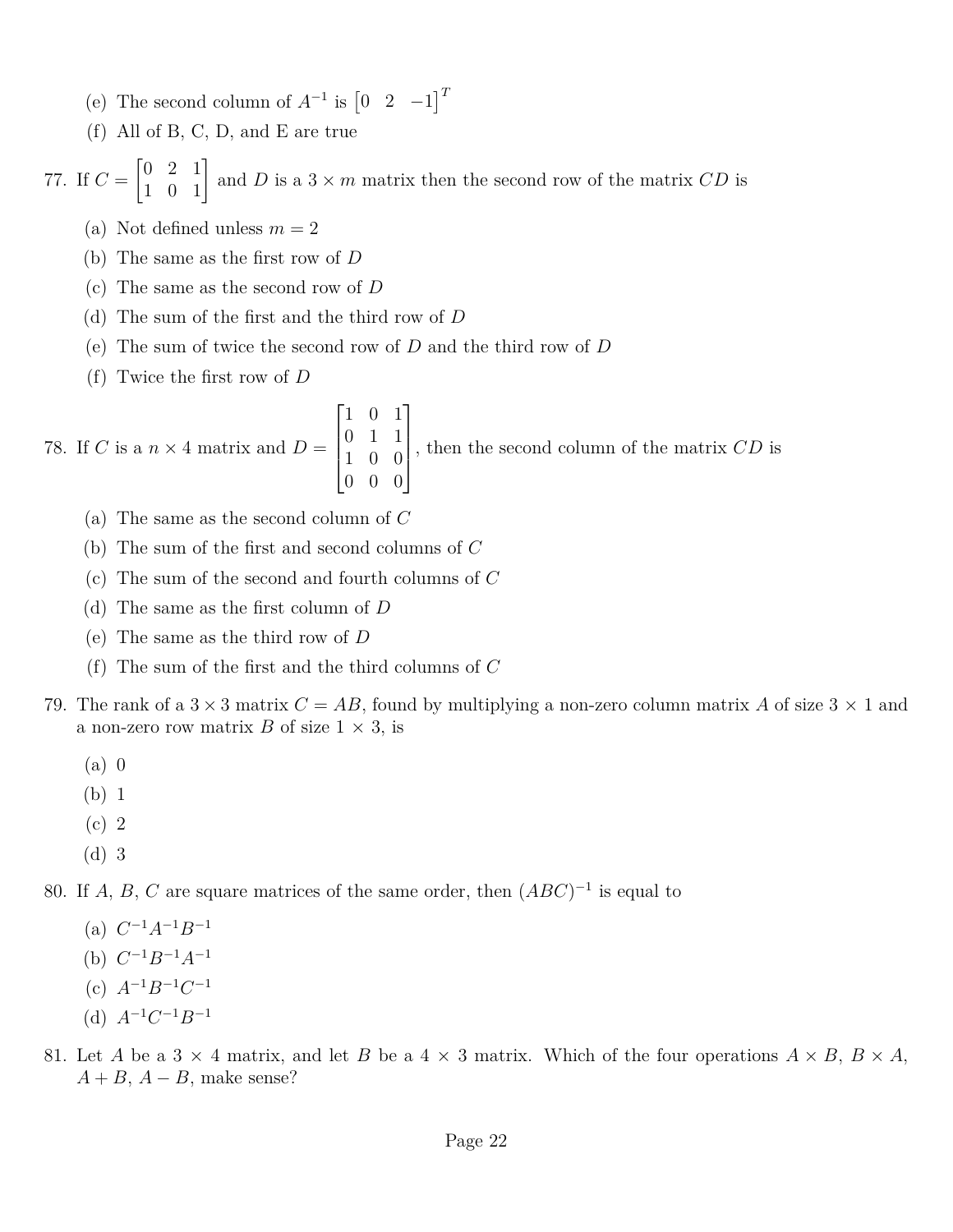- (e) The second column of  $A^{-1}$  is  $\begin{bmatrix} 0 & 2 & -1 \end{bmatrix}^T$
- (f) All of B, C, D, and E are true

77. If  $C =$  $\begin{bmatrix} 0 & 2 & 1 \\ 1 & 0 & 1 \end{bmatrix}$  and *D* is a 3 × *m* matrix then the second row of the matrix *CD* is

- (a) Not defined unless  $m = 2$
- (b) The same as the first row of *D*
- (c) The same as the second row of *D*
- (d) The sum of the first and the third row of *D*
- (e) The sum of twice the second row of *D* and the third row of *D*
- (f) Twice the first row of *D*

78. If C is a 
$$
n \times 4
$$
 matrix and  $D = \begin{bmatrix} 1 & 0 & 1 \\ 0 & 1 & 1 \\ 1 & 0 & 0 \\ 0 & 0 & 0 \end{bmatrix}$ , then the second column of the matrix  $CD$  is

- (a) The same as the second column of *C*
- (b) The sum of the first and second columns of *C*
- (c) The sum of the second and fourth columns of *C*
- (d) The same as the first column of *D*
- (e) The same as the third row of *D*
- (f) The sum of the first and the third columns of *C*
- 79. The rank of a  $3 \times 3$  matrix  $C = AB$ , found by multiplying a non-zero column matrix A of size  $3 \times 1$  and a non-zero row matrix *B* of size  $1 \times 3$ , is
	- (a) 0
	- (b) 1
	- (c) 2
	- (d) 3

80. If *A*, *B*, *C* are square matrices of the same order, then  $(ABC)^{-1}$  is equal to

- $(A)$   $C^{-1}A^{-1}B^{-1}$
- (b)  $C^{-1}B^{-1}A^{-1}$
- (c) *A*<sup>−</sup><sup>1</sup>*B*<sup>−</sup><sup>1</sup>*C* −1
- (d)  $A^{-1}C^{-1}B^{-1}$
- 81. Let *A* be a 3  $\times$  4 matrix, and let *B* be a 4  $\times$  3 matrix. Which of the four operations  $A \times B$ ,  $B \times A$ ,  $A + B$ ,  $A - B$ , make sense?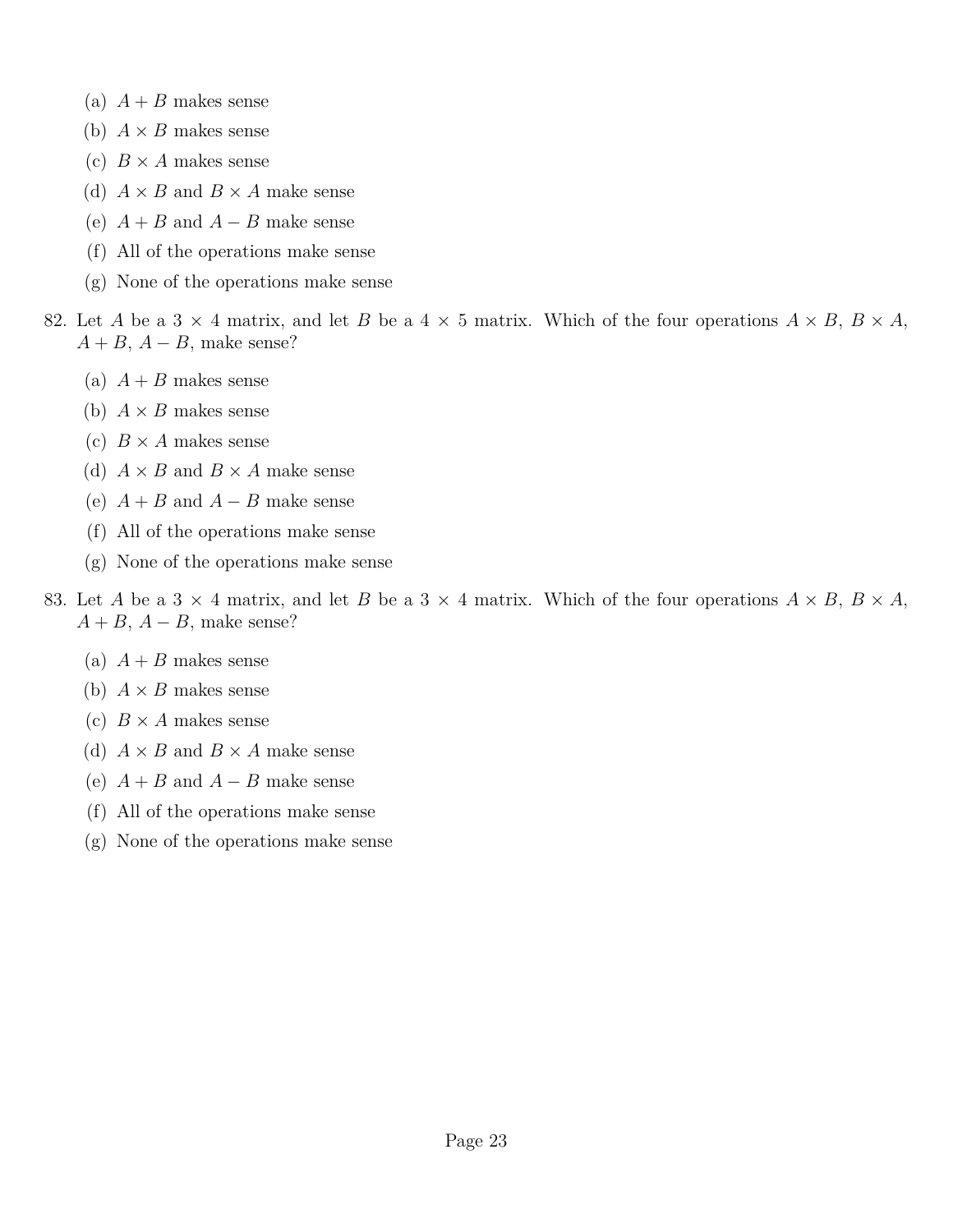- (a)  $A + B$  makes sense
- (b)  $A \times B$  makes sense
- (c)  $B \times A$  makes sense
- (d)  $A \times B$  and  $B \times A$  make sense
- (e)  $A + B$  and  $A B$  make sense
- (f) All of the operations make sense
- (g) None of the operations make sense
- 82. Let *A* be a 3  $\times$  4 matrix, and let *B* be a 4  $\times$  5 matrix. Which of the four operations  $A \times B$ ,  $B \times A$ ,  $A + B$ ,  $A - B$ , make sense?
	- (a)  $A + B$  makes sense
	- (b)  $A \times B$  makes sense
	- (c)  $B \times A$  makes sense
	- (d)  $A \times B$  and  $B \times A$  make sense
	- (e)  $A + B$  and  $A B$  make sense
	- (f) All of the operations make sense
	- (g) None of the operations make sense
- 83. Let *A* be a 3  $\times$  4 matrix, and let *B* be a 3  $\times$  4 matrix. Which of the four operations  $A \times B$ ,  $B \times A$ ,  $A + B$ ,  $A - B$ , make sense?
	- (a)  $A + B$  makes sense
	- (b)  $A \times B$  makes sense
	- (c)  $B \times A$  makes sense
	- (d)  $A \times B$  and  $B \times A$  make sense
	- (e)  $A + B$  and  $A B$  make sense
	- (f) All of the operations make sense
	- (g) None of the operations make sense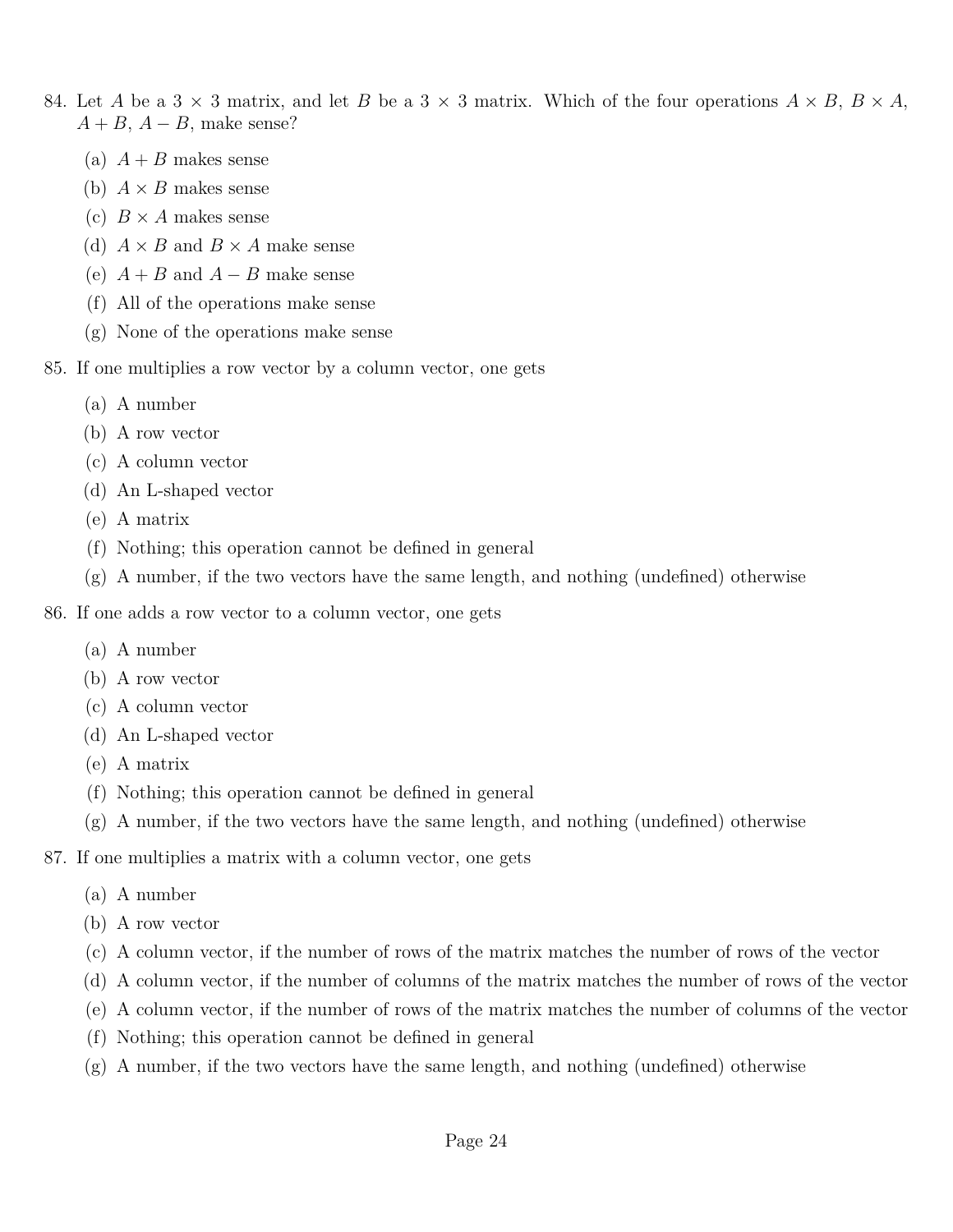- 84. Let *A* be a 3  $\times$  3 matrix, and let *B* be a 3  $\times$  3 matrix. Which of the four operations  $A \times B$ ,  $B \times A$ ,  $A + B$ ,  $A - B$ , make sense?
	- (a)  $A + B$  makes sense
	- (b)  $A \times B$  makes sense
	- (c)  $B \times A$  makes sense
	- (d)  $A \times B$  and  $B \times A$  make sense
	- (e)  $A + B$  and  $A B$  make sense
	- (f) All of the operations make sense
	- (g) None of the operations make sense
- 85. If one multiplies a row vector by a column vector, one gets
	- (a) A number
	- (b) A row vector
	- (c) A column vector
	- (d) An L-shaped vector
	- (e) A matrix
	- (f) Nothing; this operation cannot be defined in general
	- (g) A number, if the two vectors have the same length, and nothing (undefined) otherwise
- 86. If one adds a row vector to a column vector, one gets
	- (a) A number
	- (b) A row vector
	- (c) A column vector
	- (d) An L-shaped vector
	- (e) A matrix
	- (f) Nothing; this operation cannot be defined in general
	- (g) A number, if the two vectors have the same length, and nothing (undefined) otherwise
- 87. If one multiplies a matrix with a column vector, one gets
	- (a) A number
	- (b) A row vector
	- (c) A column vector, if the number of rows of the matrix matches the number of rows of the vector
	- (d) A column vector, if the number of columns of the matrix matches the number of rows of the vector
	- (e) A column vector, if the number of rows of the matrix matches the number of columns of the vector
	- (f) Nothing; this operation cannot be defined in general
	- $(g)$  A number, if the two vectors have the same length, and nothing (undefined) otherwise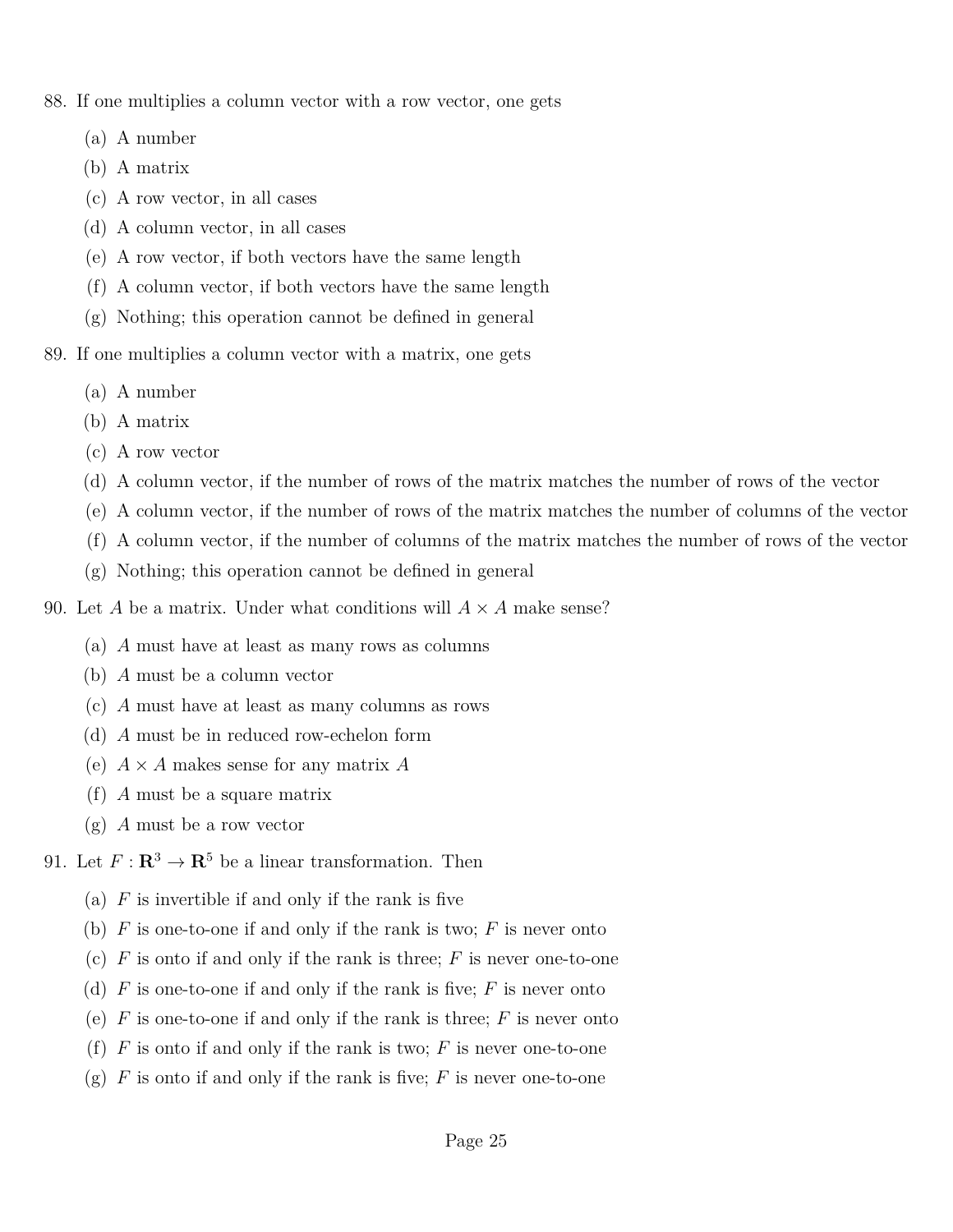- 88. If one multiplies a column vector with a row vector, one gets
	- (a) A number
	- (b) A matrix
	- (c) A row vector, in all cases
	- (d) A column vector, in all cases
	- (e) A row vector, if both vectors have the same length
	- (f) A column vector, if both vectors have the same length
	- (g) Nothing; this operation cannot be defined in general
- 89. If one multiplies a column vector with a matrix, one gets
	- (a) A number
	- (b) A matrix
	- (c) A row vector
	- (d) A column vector, if the number of rows of the matrix matches the number of rows of the vector
	- (e) A column vector, if the number of rows of the matrix matches the number of columns of the vector
	- (f) A column vector, if the number of columns of the matrix matches the number of rows of the vector
	- (g) Nothing; this operation cannot be defined in general
- 90. Let *A* be a matrix. Under what conditions will  $A \times A$  make sense?
	- (a) *A* must have at least as many rows as columns
	- (b) *A* must be a column vector
	- (c) *A* must have at least as many columns as rows
	- (d) *A* must be in reduced row-echelon form
	- (e) *A* × *A* makes sense for any matrix *A*
	- (f) *A* must be a square matrix
	- (g) *A* must be a row vector
- 91. Let  $F: \mathbb{R}^3 \to \mathbb{R}^5$  be a linear transformation. Then
	- (a)  $F$  is invertible if and only if the rank is five
	- (b) *F* is one-to-one if and only if the rank is two; *F* is never onto
	- (c) *F* is onto if and only if the rank is three; *F* is never one-to-one
	- (d) *F* is one-to-one if and only if the rank is five; *F* is never onto
	- (e) *F* is one-to-one if and only if the rank is three; *F* is never onto
	- (f)  $F$  is onto if and only if the rank is two;  $F$  is never one-to-one
	- (g)  $F$  is onto if and only if the rank is five;  $F$  is never one-to-one